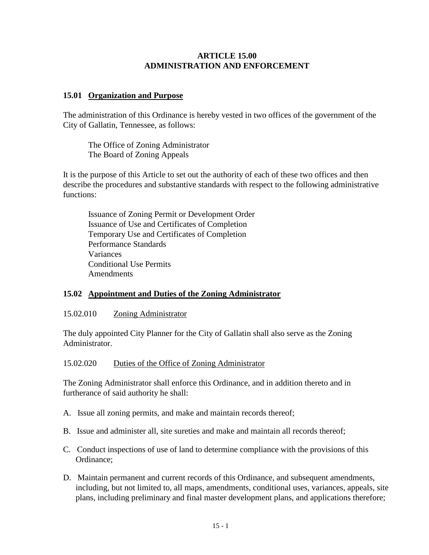### **ARTICLE 15.00 ADMINISTRATION AND ENFORCEMENT**

### **15.01 Organization and Purpose**

The administration of this Ordinance is hereby vested in two offices of the government of the City of Gallatin, Tennessee, as follows:

The Office of Zoning Administrator The Board of Zoning Appeals

It is the purpose of this Article to set out the authority of each of these two offices and then describe the procedures and substantive standards with respect to the following administrative functions:

Issuance of Zoning Permit or Development Order Issuance of Use and Certificates of Completion Temporary Use and Certificates of Completion Performance Standards Variances Conditional Use Permits Amendments

# **15.02 Appointment and Duties of the Zoning Administrator**

#### 15.02.010 Zoning Administrator

The duly appointed City Planner for the City of Gallatin shall also serve as the Zoning Administrator.

15.02.020 Duties of the Office of Zoning Administrator

The Zoning Administrator shall enforce this Ordinance, and in addition thereto and in furtherance of said authority he shall:

- A. Issue all zoning permits, and make and maintain records thereof;
- B. Issue and administer all, site sureties and make and maintain all records thereof;
- C. Conduct inspections of use of land to determine compliance with the provisions of this Ordinance;
- D. Maintain permanent and current records of this Ordinance, and subsequent amendments, including, but not limited to, all maps, amendments, conditional uses, variances, appeals, site plans, including preliminary and final master development plans, and applications therefore;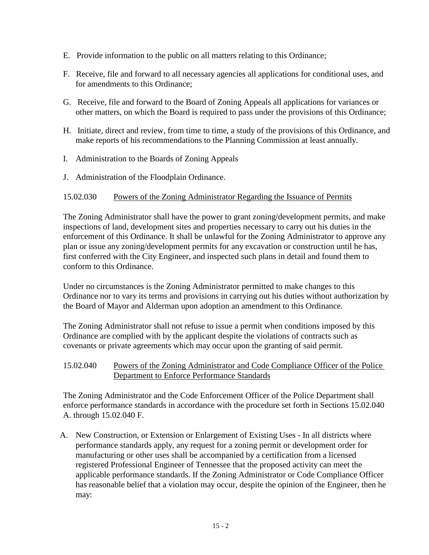- E. Provide information to the public on all matters relating to this Ordinance;
- F. Receive, file and forward to all necessary agencies all applications for conditional uses, and for amendments to this Ordinance;
- G. Receive, file and forward to the Board of Zoning Appeals all applications for variances or other matters, on which the Board is required to pass under the provisions of this Ordinance;
- H. Initiate, direct and review, from time to time, a study of the provisions of this Ordinance, and make reports of his recommendations to the Planning Commission at least annually.
- I. Administration to the Boards of Zoning Appeals
- J. Administration of the Floodplain Ordinance.

# 15.02.030 Powers of the Zoning Administrator Regarding the Issuance of Permits

The Zoning Administrator shall have the power to grant zoning/development permits, and make inspections of land, development sites and properties necessary to carry out his duties in the enforcement of this Ordinance. It shall be unlawful for the Zoning Administrator to approve any plan or issue any zoning/development permits for any excavation or construction until he has, first conferred with the City Engineer, and inspected such plans in detail and found them to conform to this Ordinance.

Under no circumstances is the Zoning Administrator permitted to make changes to this Ordinance nor to vary its terms and provisions in carrying out his duties without authorization by the Board of Mayor and Alderman upon adoption an amendment to this Ordinance.

The Zoning Administrator shall not refuse to issue a permit when conditions imposed by this Ordinance are complied with by the applicant despite the violations of contracts such as covenants or private agreements which may occur upon the granting of said permit.

# 15.02.040 Powers of the Zoning Administrator and Code Compliance Officer of the Police Department to Enforce Performance Standards

The Zoning Administrator and the Code Enforcement Officer of the Police Department shall enforce performance standards in accordance with the procedure set forth in Sections 15.02.040 A. through 15.02.040 F.

A. New Construction, or Extension or Enlargement of Existing Uses - In all districts where performance standards apply, any request for a zoning permit or development order for manufacturing or other uses shall be accompanied by a certification from a licensed registered Professional Engineer of Tennessee that the proposed activity can meet the applicable performance standards. If the Zoning Administrator or Code Compliance Officer has reasonable belief that a violation may occur, despite the opinion of the Engineer, then he may: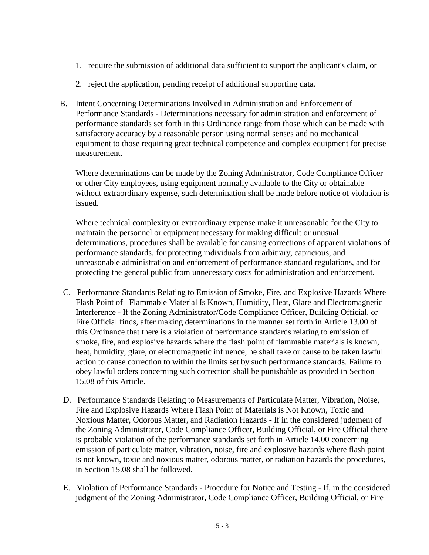- 1. require the submission of additional data sufficient to support the applicant's claim, or
- 2. reject the application, pending receipt of additional supporting data.
- B. Intent Concerning Determinations Involved in Administration and Enforcement of Performance Standards - Determinations necessary for administration and enforcement of performance standards set forth in this Ordinance range from those which can be made with satisfactory accuracy by a reasonable person using normal senses and no mechanical equipment to those requiring great technical competence and complex equipment for precise measurement.

Where determinations can be made by the Zoning Administrator, Code Compliance Officer or other City employees, using equipment normally available to the City or obtainable without extraordinary expense, such determination shall be made before notice of violation is issued.

Where technical complexity or extraordinary expense make it unreasonable for the City to maintain the personnel or equipment necessary for making difficult or unusual determinations, procedures shall be available for causing corrections of apparent violations of performance standards, for protecting individuals from arbitrary, capricious, and unreasonable administration and enforcement of performance standard regulations, and for protecting the general public from unnecessary costs for administration and enforcement.

- C. Performance Standards Relating to Emission of Smoke, Fire, and Explosive Hazards Where Flash Point of Flammable Material Is Known, Humidity, Heat, Glare and Electromagnetic Interference - If the Zoning Administrator/Code Compliance Officer, Building Official, or Fire Official finds, after making determinations in the manner set forth in Article 13.00 of this Ordinance that there is a violation of performance standards relating to emission of smoke, fire, and explosive hazards where the flash point of flammable materials is known, heat, humidity, glare, or electromagnetic influence, he shall take or cause to be taken lawful action to cause correction to within the limits set by such performance standards. Failure to obey lawful orders concerning such correction shall be punishable as provided in Section 15.08 of this Article.
- D. Performance Standards Relating to Measurements of Particulate Matter, Vibration, Noise, Fire and Explosive Hazards Where Flash Point of Materials is Not Known, Toxic and Noxious Matter, Odorous Matter, and Radiation Hazards - If in the considered judgment of the Zoning Administrator, Code Compliance Officer, Building Official, or Fire Official there is probable violation of the performance standards set forth in Article 14.00 concerning emission of particulate matter, vibration, noise, fire and explosive hazards where flash point is not known, toxic and noxious matter, odorous matter, or radiation hazards the procedures, in Section 15.08 shall be followed.
- E. Violation of Performance Standards Procedure for Notice and Testing If, in the considered judgment of the Zoning Administrator, Code Compliance Officer, Building Official, or Fire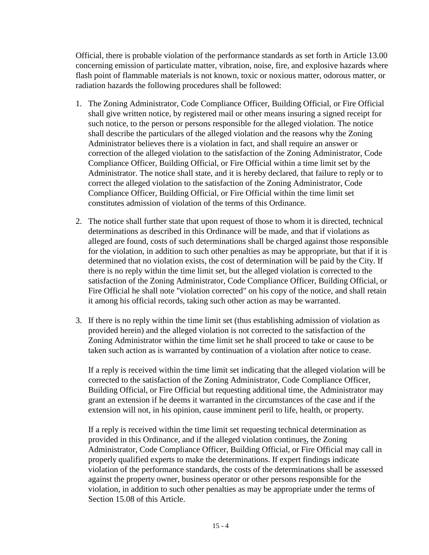Official, there is probable violation of the performance standards as set forth in Article 13.00 concerning emission of particulate matter, vibration, noise, fire, and explosive hazards where flash point of flammable materials is not known, toxic or noxious matter, odorous matter, or radiation hazards the following procedures shall be followed:

- 1. The Zoning Administrator, Code Compliance Officer, Building Official, or Fire Official shall give written notice, by registered mail or other means insuring a signed receipt for such notice, to the person or persons responsible for the alleged violation. The notice shall describe the particulars of the alleged violation and the reasons why the Zoning Administrator believes there is a violation in fact, and shall require an answer or correction of the alleged violation to the satisfaction of the Zoning Administrator, Code Compliance Officer, Building Official, or Fire Official within a time limit set by the Administrator. The notice shall state, and it is hereby declared, that failure to reply or to correct the alleged violation to the satisfaction of the Zoning Administrator, Code Compliance Officer, Building Official, or Fire Official within the time limit set constitutes admission of violation of the terms of this Ordinance.
- 2. The notice shall further state that upon request of those to whom it is directed, technical determinations as described in this Ordinance will be made, and that if violations as alleged are found, costs of such determinations shall be charged against those responsible for the violation, in addition to such other penalties as may be appropriate, but that if it is determined that no violation exists, the cost of determination will be paid by the City. If there is no reply within the time limit set, but the alleged violation is corrected to the satisfaction of the Zoning Administrator, Code Compliance Officer, Building Official, or Fire Official he shall note "violation corrected" on his copy of the notice, and shall retain it among his official records, taking such other action as may be warranted.
- 3. If there is no reply within the time limit set (thus establishing admission of violation as provided herein) and the alleged violation is not corrected to the satisfaction of the Zoning Administrator within the time limit set he shall proceed to take or cause to be taken such action as is warranted by continuation of a violation after notice to cease.

If a reply is received within the time limit set indicating that the alleged violation will be corrected to the satisfaction of the Zoning Administrator, Code Compliance Officer, Building Official, or Fire Official but requesting additional time, the Administrator may grant an extension if he deems it warranted in the circumstances of the case and if the extension will not, in his opinion, cause imminent peril to life, health, or property.

If a reply is received within the time limit set requesting technical determination as provided in this Ordinance, and if the alleged violation continues, the Zoning Administrator, Code Compliance Officer, Building Official, or Fire Official may call in properly qualified experts to make the determinations. If expert findings indicate violation of the performance standards, the costs of the determinations shall be assessed against the property owner, business operator or other persons responsible for the violation, in addition to such other penalties as may be appropriate under the terms of Section 15.08 of this Article.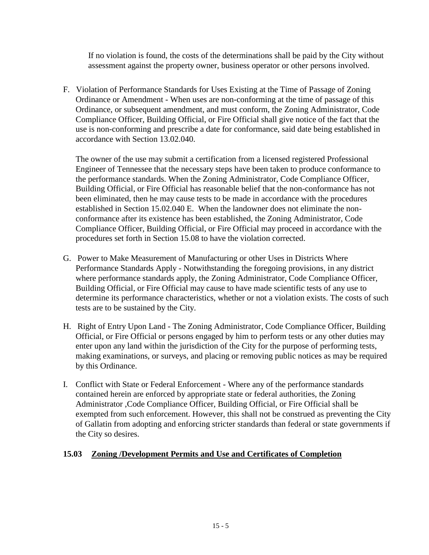If no violation is found, the costs of the determinations shall be paid by the City without assessment against the property owner, business operator or other persons involved.

F. Violation of Performance Standards for Uses Existing at the Time of Passage of Zoning Ordinance or Amendment - When uses are non-conforming at the time of passage of this Ordinance, or subsequent amendment, and must conform, the Zoning Administrator, Code Compliance Officer, Building Official, or Fire Official shall give notice of the fact that the use is non-conforming and prescribe a date for conformance, said date being established in accordance with Section 13.02.040.

The owner of the use may submit a certification from a licensed registered Professional Engineer of Tennessee that the necessary steps have been taken to produce conformance to the performance standards. When the Zoning Administrator, Code Compliance Officer, Building Official, or Fire Official has reasonable belief that the non-conformance has not been eliminated, then he may cause tests to be made in accordance with the procedures established in Section 15.02.040 E. When the landowner does not eliminate the nonconformance after its existence has been established, the Zoning Administrator, Code Compliance Officer, Building Official, or Fire Official may proceed in accordance with the procedures set forth in Section 15.08 to have the violation corrected.

- G. Power to Make Measurement of Manufacturing or other Uses in Districts Where Performance Standards Apply - Notwithstanding the foregoing provisions, in any district where performance standards apply, the Zoning Administrator, Code Compliance Officer, Building Official, or Fire Official may cause to have made scientific tests of any use to determine its performance characteristics, whether or not a violation exists. The costs of such tests are to be sustained by the City.
- H. Right of Entry Upon Land The Zoning Administrator, Code Compliance Officer, Building Official, or Fire Official or persons engaged by him to perform tests or any other duties may enter upon any land within the jurisdiction of the City for the purpose of performing tests, making examinations, or surveys, and placing or removing public notices as may be required by this Ordinance.
- I. Conflict with State or Federal Enforcement Where any of the performance standards contained herein are enforced by appropriate state or federal authorities, the Zoning Administrator ,Code Compliance Officer, Building Official, or Fire Official shall be exempted from such enforcement. However, this shall not be construed as preventing the City of Gallatin from adopting and enforcing stricter standards than federal or state governments if the City so desires.

# **15.03 Zoning /Development Permits and Use and Certificates of Completion**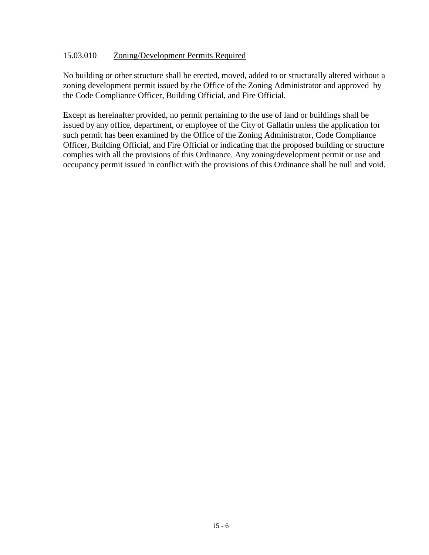### 15.03.010 Zoning/Development Permits Required

No building or other structure shall be erected, moved, added to or structurally altered without a zoning development permit issued by the Office of the Zoning Administrator and approved by the Code Compliance Officer, Building Official, and Fire Official.

Except as hereinafter provided, no permit pertaining to the use of land or buildings shall be issued by any office, department, or employee of the City of Gallatin unless the application for such permit has been examined by the Office of the Zoning Administrator, Code Compliance Officer, Building Official, and Fire Official or indicating that the proposed building or structure complies with all the provisions of this Ordinance. Any zoning/development permit or use and occupancy permit issued in conflict with the provisions of this Ordinance shall be null and void.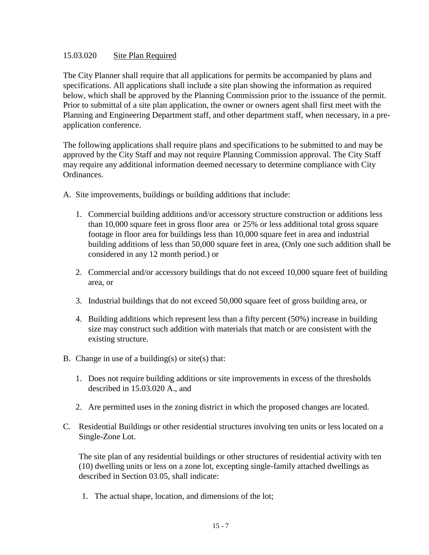### 15.03.020 Site Plan Required

The City Planner shall require that all applications for permits be accompanied by plans and specifications. All applications shall include a site plan showing the information as required below, which shall be approved by the Planning Commission prior to the issuance of the permit. Prior to submittal of a site plan application, the owner or owners agent shall first meet with the Planning and Engineering Department staff, and other department staff, when necessary, in a preapplication conference.

The following applications shall require plans and specifications to be submitted to and may be approved by the City Staff and may not require Planning Commission approval. The City Staff may require any additional information deemed necessary to determine compliance with City Ordinances.

- A. Site improvements, buildings or building additions that include:
	- 1. Commercial building additions and/or accessory structure construction or additions less than 10,000 square feet in gross floor area or 25% or less additional total gross square footage in floor area for buildings less than 10,000 square feet in area and industrial building additions of less than 50,000 square feet in area, (Only one such addition shall be considered in any 12 month period.) or
	- 2. Commercial and/or accessory buildings that do not exceed 10,000 square feet of building area, or
	- 3. Industrial buildings that do not exceed 50,000 square feet of gross building area, or
	- 4. Building additions which represent less than a fifty percent (50%) increase in building size may construct such addition with materials that match or are consistent with the existing structure.
- B. Change in use of a building(s) or site(s) that:
	- 1. Does not require building additions or site improvements in excess of the thresholds described in 15.03.020 A., and
	- 2. Are permitted uses in the zoning district in which the proposed changes are located.
- C. Residential Buildings or other residential structures involving ten units or less located on a Single-Zone Lot.

The site plan of any residential buildings or other structures of residential activity with ten (10) dwelling units or less on a zone lot, excepting single-family attached dwellings as described in Section 03.05, shall indicate:

1. The actual shape, location, and dimensions of the lot;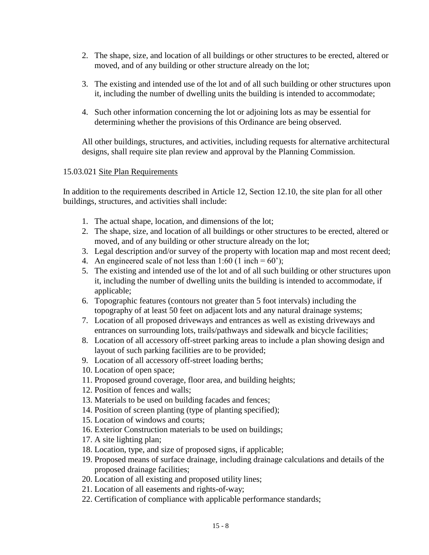- 2. The shape, size, and location of all buildings or other structures to be erected, altered or moved, and of any building or other structure already on the lot;
- 3. The existing and intended use of the lot and of all such building or other structures upon it, including the number of dwelling units the building is intended to accommodate;
- 4. Such other information concerning the lot or adjoining lots as may be essential for determining whether the provisions of this Ordinance are being observed.

All other buildings, structures, and activities, including requests for alternative architectural designs, shall require site plan review and approval by the Planning Commission.

# 15.03.021 Site Plan Requirements

In addition to the requirements described in Article 12, Section 12.10, the site plan for all other buildings, structures, and activities shall include:

- 1. The actual shape, location, and dimensions of the lot;
- 2. The shape, size, and location of all buildings or other structures to be erected, altered or moved, and of any building or other structure already on the lot;
- 3. Legal description and/or survey of the property with location map and most recent deed;
- 4. An engineered scale of not less than  $1:60$  (1 inch = 60');
- 5. The existing and intended use of the lot and of all such building or other structures upon it, including the number of dwelling units the building is intended to accommodate, if applicable;
- 6. Topographic features (contours not greater than 5 foot intervals) including the topography of at least 50 feet on adjacent lots and any natural drainage systems;
- 7. Location of all proposed driveways and entrances as well as existing driveways and entrances on surrounding lots, trails/pathways and sidewalk and bicycle facilities;
- 8. Location of all accessory off-street parking areas to include a plan showing design and layout of such parking facilities are to be provided;
- 9. Location of all accessory off-street loading berths;
- 10. Location of open space;
- 11. Proposed ground coverage, floor area, and building heights;
- 12. Position of fences and walls;
- 13. Materials to be used on building facades and fences;
- 14. Position of screen planting (type of planting specified);
- 15. Location of windows and courts;
- 16. Exterior Construction materials to be used on buildings;
- 17. A site lighting plan;
- 18. Location, type, and size of proposed signs, if applicable;
- 19. Proposed means of surface drainage, including drainage calculations and details of the proposed drainage facilities;
- 20. Location of all existing and proposed utility lines;
- 21. Location of all easements and rights-of-way;
- 22. Certification of compliance with applicable performance standards;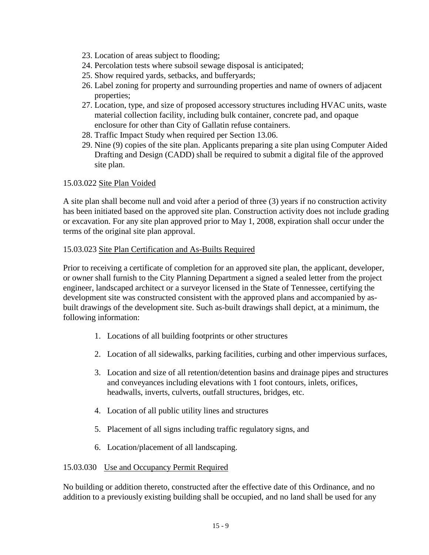- 23. Location of areas subject to flooding;
- 24. Percolation tests where subsoil sewage disposal is anticipated;
- 25. Show required yards, setbacks, and bufferyards;
- 26. Label zoning for property and surrounding properties and name of owners of adjacent properties;
- 27. Location, type, and size of proposed accessory structures including HVAC units, waste material collection facility, including bulk container, concrete pad, and opaque enclosure for other than City of Gallatin refuse containers.
- 28. Traffic Impact Study when required per Section 13.06.
- 29. Nine (9) copies of the site plan. Applicants preparing a site plan using Computer Aided Drafting and Design (CADD) shall be required to submit a digital file of the approved site plan.

#### 15.03.022 Site Plan Voided

A site plan shall become null and void after a period of three (3) years if no construction activity has been initiated based on the approved site plan. Construction activity does not include grading or excavation. For any site plan approved prior to May 1, 2008, expiration shall occur under the terms of the original site plan approval.

#### 15.03.023 Site Plan Certification and As-Builts Required

Prior to receiving a certificate of completion for an approved site plan, the applicant, developer, or owner shall furnish to the City Planning Department a signed a sealed letter from the project engineer, landscaped architect or a surveyor licensed in the State of Tennessee, certifying the development site was constructed consistent with the approved plans and accompanied by asbuilt drawings of the development site. Such as-built drawings shall depict, at a minimum, the following information:

- 1. Locations of all building footprints or other structures
- 2. Location of all sidewalks, parking facilities, curbing and other impervious surfaces,
- 3. Location and size of all retention/detention basins and drainage pipes and structures and conveyances including elevations with 1 foot contours, inlets, orifices, headwalls, inverts, culverts, outfall structures, bridges, etc.
- 4. Location of all public utility lines and structures
- 5. Placement of all signs including traffic regulatory signs, and
- 6. Location/placement of all landscaping.

#### 15.03.030 Use and Occupancy Permit Required

No building or addition thereto, constructed after the effective date of this Ordinance, and no addition to a previously existing building shall be occupied, and no land shall be used for any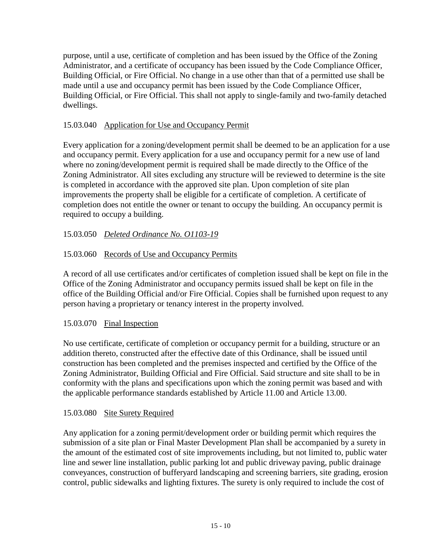purpose, until a use, certificate of completion and has been issued by the Office of the Zoning Administrator, and a certificate of occupancy has been issued by the Code Compliance Officer, Building Official, or Fire Official. No change in a use other than that of a permitted use shall be made until a use and occupancy permit has been issued by the Code Compliance Officer, Building Official, or Fire Official. This shall not apply to single-family and two-family detached dwellings.

# 15.03.040 Application for Use and Occupancy Permit

Every application for a zoning/development permit shall be deemed to be an application for a use and occupancy permit. Every application for a use and occupancy permit for a new use of land where no zoning/development permit is required shall be made directly to the Office of the Zoning Administrator. All sites excluding any structure will be reviewed to determine is the site is completed in accordance with the approved site plan. Upon completion of site plan improvements the property shall be eligible for a certificate of completion. A certificate of completion does not entitle the owner or tenant to occupy the building. An occupancy permit is required to occupy a building.

# 15.03.050 *Deleted Ordinance No. O1103-19*

# 15.03.060 Records of Use and Occupancy Permits

A record of all use certificates and/or certificates of completion issued shall be kept on file in the Office of the Zoning Administrator and occupancy permits issued shall be kept on file in the office of the Building Official and/or Fire Official. Copies shall be furnished upon request to any person having a proprietary or tenancy interest in the property involved.

# 15.03.070 Final Inspection

No use certificate, certificate of completion or occupancy permit for a building, structure or an addition thereto, constructed after the effective date of this Ordinance, shall be issued until construction has been completed and the premises inspected and certified by the Office of the Zoning Administrator, Building Official and Fire Official. Said structure and site shall to be in conformity with the plans and specifications upon which the zoning permit was based and with the applicable performance standards established by Article 11.00 and Article 13.00.

# 15.03.080 Site Surety Required

Any application for a zoning permit/development order or building permit which requires the submission of a site plan or Final Master Development Plan shall be accompanied by a surety in the amount of the estimated cost of site improvements including, but not limited to, public water line and sewer line installation, public parking lot and public driveway paving, public drainage conveyances, construction of bufferyard landscaping and screening barriers, site grading, erosion control, public sidewalks and lighting fixtures. The surety is only required to include the cost of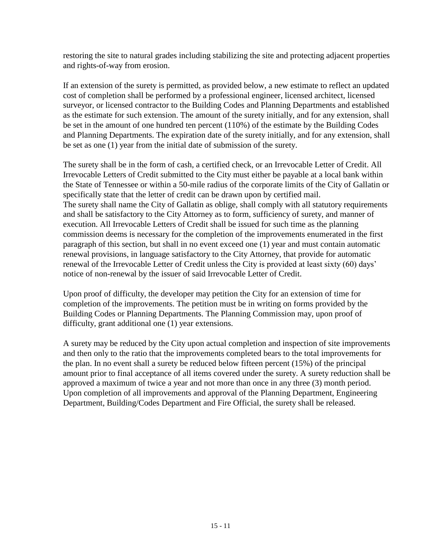restoring the site to natural grades including stabilizing the site and protecting adjacent properties and rights-of-way from erosion.

If an extension of the surety is permitted, as provided below, a new estimate to reflect an updated cost of completion shall be performed by a professional engineer, licensed architect, licensed surveyor, or licensed contractor to the Building Codes and Planning Departments and established as the estimate for such extension. The amount of the surety initially, and for any extension, shall be set in the amount of one hundred ten percent (110%) of the estimate by the Building Codes and Planning Departments. The expiration date of the surety initially, and for any extension, shall be set as one (1) year from the initial date of submission of the surety.

The surety shall be in the form of cash, a certified check, or an Irrevocable Letter of Credit. All Irrevocable Letters of Credit submitted to the City must either be payable at a local bank within the State of Tennessee or within a 50-mile radius of the corporate limits of the City of Gallatin or specifically state that the letter of credit can be drawn upon by certified mail. The surety shall name the City of Gallatin as oblige, shall comply with all statutory requirements and shall be satisfactory to the City Attorney as to form, sufficiency of surety, and manner of execution. All Irrevocable Letters of Credit shall be issued for such time as the planning commission deems is necessary for the completion of the improvements enumerated in the first paragraph of this section, but shall in no event exceed one (1) year and must contain automatic renewal provisions, in language satisfactory to the City Attorney, that provide for automatic renewal of the Irrevocable Letter of Credit unless the City is provided at least sixty (60) days' notice of non-renewal by the issuer of said Irrevocable Letter of Credit.

Upon proof of difficulty, the developer may petition the City for an extension of time for completion of the improvements. The petition must be in writing on forms provided by the Building Codes or Planning Departments. The Planning Commission may, upon proof of difficulty, grant additional one (1) year extensions.

A surety may be reduced by the City upon actual completion and inspection of site improvements and then only to the ratio that the improvements completed bears to the total improvements for the plan. In no event shall a surety be reduced below fifteen percent (15%) of the principal amount prior to final acceptance of all items covered under the surety. A surety reduction shall be approved a maximum of twice a year and not more than once in any three (3) month period. Upon completion of all improvements and approval of the Planning Department, Engineering Department, Building/Codes Department and Fire Official, the surety shall be released.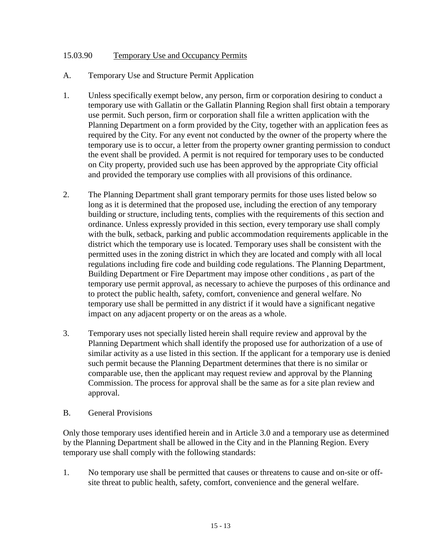### 15.03.90 Temporary Use and Occupancy Permits

- A. Temporary Use and Structure Permit Application
- 1. Unless specifically exempt below, any person, firm or corporation desiring to conduct a temporary use with Gallatin or the Gallatin Planning Region shall first obtain a temporary use permit. Such person, firm or corporation shall file a written application with the Planning Department on a form provided by the City, together with an application fees as required by the City. For any event not conducted by the owner of the property where the temporary use is to occur, a letter from the property owner granting permission to conduct the event shall be provided. A permit is not required for temporary uses to be conducted on City property, provided such use has been approved by the appropriate City official and provided the temporary use complies with all provisions of this ordinance.
- 2. The Planning Department shall grant temporary permits for those uses listed below so long as it is determined that the proposed use, including the erection of any temporary building or structure, including tents, complies with the requirements of this section and ordinance. Unless expressly provided in this section, every temporary use shall comply with the bulk, setback, parking and public accommodation requirements applicable in the district which the temporary use is located. Temporary uses shall be consistent with the permitted uses in the zoning district in which they are located and comply with all local regulations including fire code and building code regulations. The Planning Department, Building Department or Fire Department may impose other conditions , as part of the temporary use permit approval, as necessary to achieve the purposes of this ordinance and to protect the public health, safety, comfort, convenience and general welfare. No temporary use shall be permitted in any district if it would have a significant negative impact on any adjacent property or on the areas as a whole.
- 3. Temporary uses not specially listed herein shall require review and approval by the Planning Department which shall identify the proposed use for authorization of a use of similar activity as a use listed in this section. If the applicant for a temporary use is denied such permit because the Planning Department determines that there is no similar or comparable use, then the applicant may request review and approval by the Planning Commission. The process for approval shall be the same as for a site plan review and approval.
- B. General Provisions

Only those temporary uses identified herein and in Article 3.0 and a temporary use as determined by the Planning Department shall be allowed in the City and in the Planning Region. Every temporary use shall comply with the following standards:

1. No temporary use shall be permitted that causes or threatens to cause and on-site or offsite threat to public health, safety, comfort, convenience and the general welfare.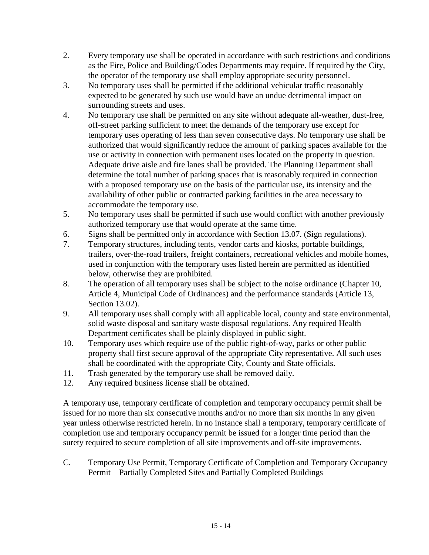- 2. Every temporary use shall be operated in accordance with such restrictions and conditions as the Fire, Police and Building/Codes Departments may require. If required by the City, the operator of the temporary use shall employ appropriate security personnel.
- 3. No temporary uses shall be permitted if the additional vehicular traffic reasonably expected to be generated by such use would have an undue detrimental impact on surrounding streets and uses.
- 4. No temporary use shall be permitted on any site without adequate all-weather, dust-free, off-street parking sufficient to meet the demands of the temporary use except for temporary uses operating of less than seven consecutive days. No temporary use shall be authorized that would significantly reduce the amount of parking spaces available for the use or activity in connection with permanent uses located on the property in question. Adequate drive aisle and fire lanes shall be provided. The Planning Department shall determine the total number of parking spaces that is reasonably required in connection with a proposed temporary use on the basis of the particular use, its intensity and the availability of other public or contracted parking facilities in the area necessary to accommodate the temporary use.
- 5. No temporary uses shall be permitted if such use would conflict with another previously authorized temporary use that would operate at the same time.
- 6. Signs shall be permitted only in accordance with Section 13.07. (Sign regulations).
- 7. Temporary structures, including tents, vendor carts and kiosks, portable buildings, trailers, over-the-road trailers, freight containers, recreational vehicles and mobile homes, used in conjunction with the temporary uses listed herein are permitted as identified below, otherwise they are prohibited.
- 8. The operation of all temporary uses shall be subject to the noise ordinance (Chapter 10, Article 4, Municipal Code of Ordinances) and the performance standards (Article 13, Section 13.02).
- 9. All temporary uses shall comply with all applicable local, county and state environmental, solid waste disposal and sanitary waste disposal regulations. Any required Health Department certificates shall be plainly displayed in public sight.
- 10. Temporary uses which require use of the public right-of-way, parks or other public property shall first secure approval of the appropriate City representative. All such uses shall be coordinated with the appropriate City, County and State officials.
- 11. Trash generated by the temporary use shall be removed daily.
- 12. Any required business license shall be obtained.

A temporary use, temporary certificate of completion and temporary occupancy permit shall be issued for no more than six consecutive months and/or no more than six months in any given year unless otherwise restricted herein. In no instance shall a temporary, temporary certificate of completion use and temporary occupancy permit be issued for a longer time period than the surety required to secure completion of all site improvements and off-site improvements.

C. Temporary Use Permit, Temporary Certificate of Completion and Temporary Occupancy Permit – Partially Completed Sites and Partially Completed Buildings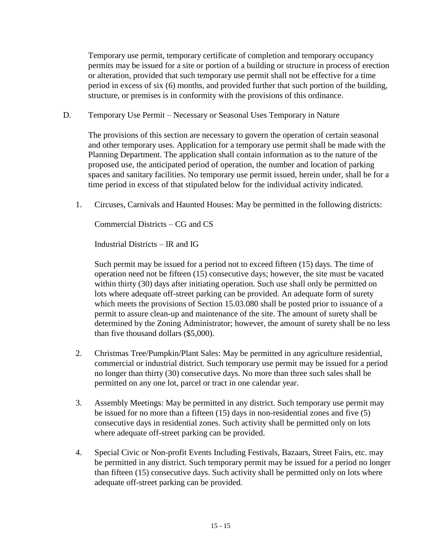Temporary use permit, temporary certificate of completion and temporary occupancy permits may be issued for a site or portion of a building or structure in process of erection or alteration, provided that such temporary use permit shall not be effective for a time period in excess of six (6) months, and provided further that such portion of the building, structure, or premises is in conformity with the provisions of this ordinance.

D. Temporary Use Permit – Necessary or Seasonal Uses Temporary in Nature

The provisions of this section are necessary to govern the operation of certain seasonal and other temporary uses. Application for a temporary use permit shall be made with the Planning Department. The application shall contain information as to the nature of the proposed use, the anticipated period of operation, the number and location of parking spaces and sanitary facilities. No temporary use permit issued, herein under, shall be for a time period in excess of that stipulated below for the individual activity indicated.

1. Circuses, Carnivals and Haunted Houses: May be permitted in the following districts:

Commercial Districts – CG and CS

Industrial Districts – IR and IG

Such permit may be issued for a period not to exceed fifteen (15) days. The time of operation need not be fifteen (15) consecutive days; however, the site must be vacated within thirty (30) days after initiating operation. Such use shall only be permitted on lots where adequate off-street parking can be provided. An adequate form of surety which meets the provisions of Section 15.03.080 shall be posted prior to issuance of a permit to assure clean-up and maintenance of the site. The amount of surety shall be determined by the Zoning Administrator; however, the amount of surety shall be no less than five thousand dollars (\$5,000).

- 2. Christmas Tree/Pumpkin/Plant Sales: May be permitted in any agriculture residential, commercial or industrial district. Such temporary use permit may be issued for a period no longer than thirty (30) consecutive days. No more than three such sales shall be permitted on any one lot, parcel or tract in one calendar year.
- 3. Assembly Meetings: May be permitted in any district. Such temporary use permit may be issued for no more than a fifteen (15) days in non-residential zones and five (5) consecutive days in residential zones. Such activity shall be permitted only on lots where adequate off-street parking can be provided.
- 4. Special Civic or Non-profit Events Including Festivals, Bazaars, Street Fairs, etc. may be permitted in any district. Such temporary permit may be issued for a period no longer than fifteen (15) consecutive days. Such activity shall be permitted only on lots where adequate off-street parking can be provided.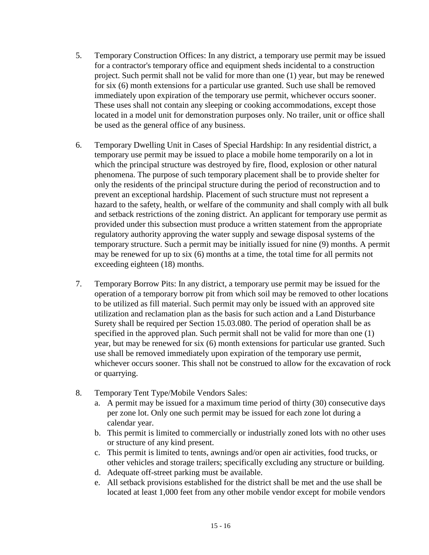- 5. Temporary Construction Offices: In any district, a temporary use permit may be issued for a contractor's temporary office and equipment sheds incidental to a construction project. Such permit shall not be valid for more than one (1) year, but may be renewed for six (6) month extensions for a particular use granted. Such use shall be removed immediately upon expiration of the temporary use permit, whichever occurs sooner. These uses shall not contain any sleeping or cooking accommodations, except those located in a model unit for demonstration purposes only. No trailer, unit or office shall be used as the general office of any business.
- 6. Temporary Dwelling Unit in Cases of Special Hardship: In any residential district, a temporary use permit may be issued to place a mobile home temporarily on a lot in which the principal structure was destroyed by fire, flood, explosion or other natural phenomena. The purpose of such temporary placement shall be to provide shelter for only the residents of the principal structure during the period of reconstruction and to prevent an exceptional hardship. Placement of such structure must not represent a hazard to the safety, health, or welfare of the community and shall comply with all bulk and setback restrictions of the zoning district. An applicant for temporary use permit as provided under this subsection must produce a written statement from the appropriate regulatory authority approving the water supply and sewage disposal systems of the temporary structure. Such a permit may be initially issued for nine (9) months. A permit may be renewed for up to six (6) months at a time, the total time for all permits not exceeding eighteen (18) months.
- 7. Temporary Borrow Pits: In any district, a temporary use permit may be issued for the operation of a temporary borrow pit from which soil may be removed to other locations to be utilized as fill material. Such permit may only be issued with an approved site utilization and reclamation plan as the basis for such action and a Land Disturbance Surety shall be required per Section 15.03.080. The period of operation shall be as specified in the approved plan. Such permit shall not be valid for more than one (1) year, but may be renewed for six (6) month extensions for particular use granted. Such use shall be removed immediately upon expiration of the temporary use permit, whichever occurs sooner. This shall not be construed to allow for the excavation of rock or quarrying.
- 8. Temporary Tent Type/Mobile Vendors Sales:
	- a. A permit may be issued for a maximum time period of thirty (30) consecutive days per zone lot. Only one such permit may be issued for each zone lot during a calendar year.
	- b. This permit is limited to commercially or industrially zoned lots with no other uses or structure of any kind present.
	- c. This permit is limited to tents, awnings and/or open air activities, food trucks, or other vehicles and storage trailers; specifically excluding any structure or building.
	- d. Adequate off-street parking must be available.
	- e. All setback provisions established for the district shall be met and the use shall be located at least 1,000 feet from any other mobile vendor except for mobile vendors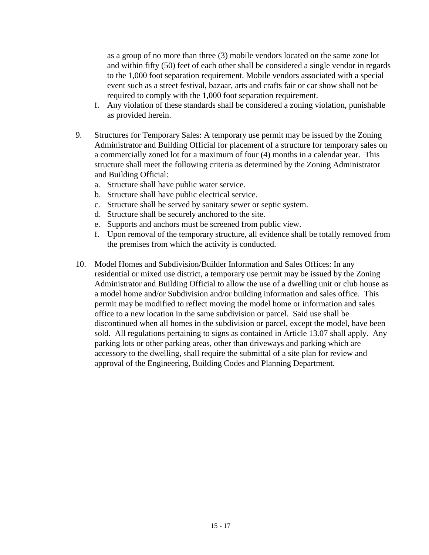as a group of no more than three (3) mobile vendors located on the same zone lot and within fifty (50) feet of each other shall be considered a single vendor in regards to the 1,000 foot separation requirement. Mobile vendors associated with a special event such as a street festival, bazaar, arts and crafts fair or car show shall not be required to comply with the 1,000 foot separation requirement.

- f. Any violation of these standards shall be considered a zoning violation, punishable as provided herein.
- 9. Structures for Temporary Sales: A temporary use permit may be issued by the Zoning Administrator and Building Official for placement of a structure for temporary sales on a commercially zoned lot for a maximum of four (4) months in a calendar year. This structure shall meet the following criteria as determined by the Zoning Administrator and Building Official:
	- a. Structure shall have public water service.
	- b. Structure shall have public electrical service.
	- c. Structure shall be served by sanitary sewer or septic system.
	- d. Structure shall be securely anchored to the site.
	- e. Supports and anchors must be screened from public view.
	- f. Upon removal of the temporary structure, all evidence shall be totally removed from the premises from which the activity is conducted.
- 10. Model Homes and Subdivision/Builder Information and Sales Offices: In any residential or mixed use district, a temporary use permit may be issued by the Zoning Administrator and Building Official to allow the use of a dwelling unit or club house as a model home and/or Subdivision and/or building information and sales office. This permit may be modified to reflect moving the model home or information and sales office to a new location in the same subdivision or parcel. Said use shall be discontinued when all homes in the subdivision or parcel, except the model, have been sold. All regulations pertaining to signs as contained in Article 13.07 shall apply. Any parking lots or other parking areas, other than driveways and parking which are accessory to the dwelling, shall require the submittal of a site plan for review and approval of the Engineering, Building Codes and Planning Department.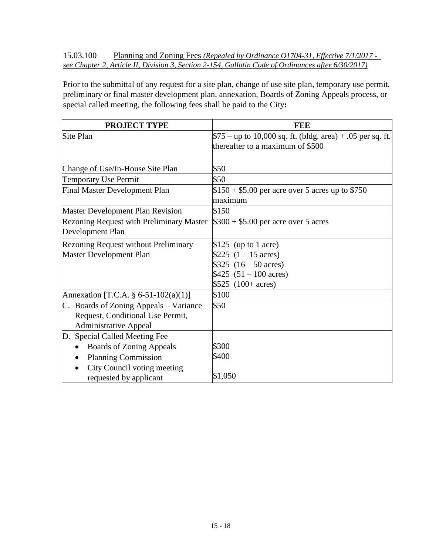15.03.100 Planning and Zoning Fees *(Repealed by Ordinance O1704-31, Effective 7/1/2017 see Chapter 2, Article II, Division 3, Section 2-154, Gallatin Code of Ordinances after 6/30/2017)*

Prior to the submittal of any request for a site plan, change of use site plan, temporary use permit, preliminary or final master development plan, annexation, Boards of Zoning Appeals process, or special called meeting, the following fees shall be paid to the City**:**

| <b>PROJECT TYPE</b>                             | FEE                                                         |
|-------------------------------------------------|-------------------------------------------------------------|
| Site Plan                                       | $$75$ – up to 10,000 sq. ft. (bldg. area) + .05 per sq. ft. |
|                                                 | thereafter to a maximum of \$500                            |
|                                                 |                                                             |
| Change of Use/In-House Site Plan                | \$50                                                        |
| <b>Temporary Use Permit</b>                     | \$50                                                        |
| <b>Final Master Development Plan</b>            | $$150 + $5.00$ per acre over 5 acres up to \$750            |
|                                                 | maximum                                                     |
| <b>Master Development Plan Revision</b>         | \$150                                                       |
| <b>Rezoning Request with Preliminary Master</b> | $$300 + $5.00$ per acre over 5 acres                        |
| Development Plan                                |                                                             |
| <b>Rezoning Request without Preliminary</b>     | \$125 (up to 1 acre)                                        |
| Master Development Plan                         | \$225 $(1 - 15 \text{ acres})$                              |
|                                                 | \$325 $(16 - 50 \text{ acres})$                             |
|                                                 | \$425 $(51 - 100 \text{ acres})$                            |
|                                                 | $$525$ (100+ acres)                                         |
| Annexation [T.C.A. § 6-51-102(a)(1)]            | \$100                                                       |
| C. Boards of Zoning Appeals – Variance          | \$50                                                        |
| Request, Conditional Use Permit,                |                                                             |
| <b>Administrative Appeal</b>                    |                                                             |
| D. Special Called Meeting Fee                   |                                                             |
| <b>Boards of Zoning Appeals</b>                 | \$300                                                       |
| <b>Planning Commission</b>                      | \$400                                                       |
| City Council voting meeting                     |                                                             |
| requested by applicant                          | \$1,050                                                     |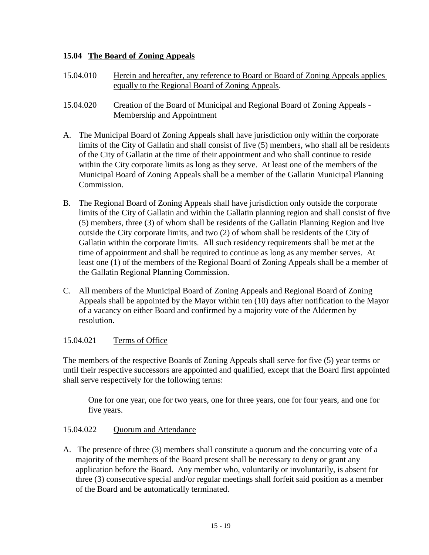# **15.04 The Board of Zoning Appeals**

- 15.04.010 Herein and hereafter, any reference to Board or Board of Zoning Appeals applies equally to the Regional Board of Zoning Appeals.
- 15.04.020 Creation of the Board of Municipal and Regional Board of Zoning Appeals Membership and Appointment
- A. The Municipal Board of Zoning Appeals shall have jurisdiction only within the corporate limits of the City of Gallatin and shall consist of five (5) members, who shall all be residents of the City of Gallatin at the time of their appointment and who shall continue to reside within the City corporate limits as long as they serve. At least one of the members of the Municipal Board of Zoning Appeals shall be a member of the Gallatin Municipal Planning Commission.
- B. The Regional Board of Zoning Appeals shall have jurisdiction only outside the corporate limits of the City of Gallatin and within the Gallatin planning region and shall consist of five (5) members, three (3) of whom shall be residents of the Gallatin Planning Region and live outside the City corporate limits, and two (2) of whom shall be residents of the City of Gallatin within the corporate limits. All such residency requirements shall be met at the time of appointment and shall be required to continue as long as any member serves. At least one (1) of the members of the Regional Board of Zoning Appeals shall be a member of the Gallatin Regional Planning Commission.
- C. All members of the Municipal Board of Zoning Appeals and Regional Board of Zoning Appeals shall be appointed by the Mayor within ten (10) days after notification to the Mayor of a vacancy on either Board and confirmed by a majority vote of the Aldermen by resolution.

# 15.04.021 Terms of Office

The members of the respective Boards of Zoning Appeals shall serve for five (5) year terms or until their respective successors are appointed and qualified, except that the Board first appointed shall serve respectively for the following terms:

One for one year, one for two years, one for three years, one for four years, and one for five years.

# 15.04.022 Quorum and Attendance

A. The presence of three (3) members shall constitute a quorum and the concurring vote of a majority of the members of the Board present shall be necessary to deny or grant any application before the Board. Any member who, voluntarily or involuntarily, is absent for three (3) consecutive special and/or regular meetings shall forfeit said position as a member of the Board and be automatically terminated.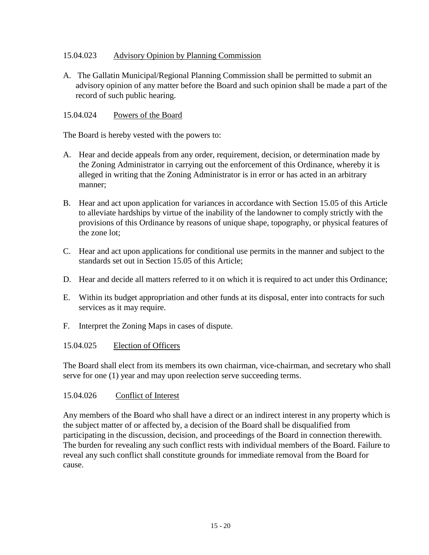# 15.04.023 Advisory Opinion by Planning Commission

A. The Gallatin Municipal/Regional Planning Commission shall be permitted to submit an advisory opinion of any matter before the Board and such opinion shall be made a part of the record of such public hearing.

### 15.04.024 Powers of the Board

The Board is hereby vested with the powers to:

- A. Hear and decide appeals from any order, requirement, decision, or determination made by the Zoning Administrator in carrying out the enforcement of this Ordinance, whereby it is alleged in writing that the Zoning Administrator is in error or has acted in an arbitrary manner;
- B. Hear and act upon application for variances in accordance with Section 15.05 of this Article to alleviate hardships by virtue of the inability of the landowner to comply strictly with the provisions of this Ordinance by reasons of unique shape, topography, or physical features of the zone lot;
- C. Hear and act upon applications for conditional use permits in the manner and subject to the standards set out in Section 15.05 of this Article;
- D. Hear and decide all matters referred to it on which it is required to act under this Ordinance;
- E. Within its budget appropriation and other funds at its disposal, enter into contracts for such services as it may require.
- F. Interpret the Zoning Maps in cases of dispute.

#### 15.04.025 Election of Officers

The Board shall elect from its members its own chairman, vice-chairman, and secretary who shall serve for one (1) year and may upon reelection serve succeeding terms.

#### 15.04.026 Conflict of Interest

Any members of the Board who shall have a direct or an indirect interest in any property which is the subject matter of or affected by, a decision of the Board shall be disqualified from participating in the discussion, decision, and proceedings of the Board in connection therewith. The burden for revealing any such conflict rests with individual members of the Board. Failure to reveal any such conflict shall constitute grounds for immediate removal from the Board for cause.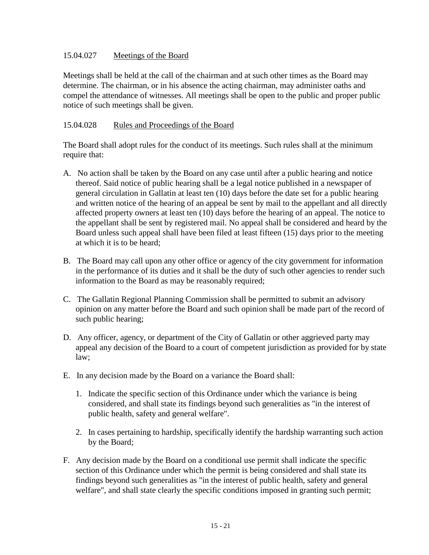### 15.04.027 Meetings of the Board

Meetings shall be held at the call of the chairman and at such other times as the Board may determine. The chairman, or in his absence the acting chairman, may administer oaths and compel the attendance of witnesses. All meetings shall be open to the public and proper public notice of such meetings shall be given.

### 15.04.028 Rules and Proceedings of the Board

The Board shall adopt rules for the conduct of its meetings. Such rules shall at the minimum require that:

- A. No action shall be taken by the Board on any case until after a public hearing and notice thereof. Said notice of public hearing shall be a legal notice published in a newspaper of general circulation in Gallatin at least ten (10) days before the date set for a public hearing and written notice of the hearing of an appeal be sent by mail to the appellant and all directly affected property owners at least ten (10) days before the hearing of an appeal. The notice to the appellant shall be sent by registered mail. No appeal shall be considered and heard by the Board unless such appeal shall have been filed at least fifteen (15) days prior to the meeting at which it is to be heard;
- B. The Board may call upon any other office or agency of the city government for information in the performance of its duties and it shall be the duty of such other agencies to render such information to the Board as may be reasonably required;
- C. The Gallatin Regional Planning Commission shall be permitted to submit an advisory opinion on any matter before the Board and such opinion shall be made part of the record of such public hearing;
- D. Any officer, agency, or department of the City of Gallatin or other aggrieved party may appeal any decision of the Board to a court of competent jurisdiction as provided for by state law;
- E. In any decision made by the Board on a variance the Board shall:
	- 1. Indicate the specific section of this Ordinance under which the variance is being considered, and shall state its findings beyond such generalities as "in the interest of public health, safety and general welfare".
	- 2. In cases pertaining to hardship, specifically identify the hardship warranting such action by the Board;
- F. Any decision made by the Board on a conditional use permit shall indicate the specific section of this Ordinance under which the permit is being considered and shall state its findings beyond such generalities as "in the interest of public health, safety and general welfare", and shall state clearly the specific conditions imposed in granting such permit;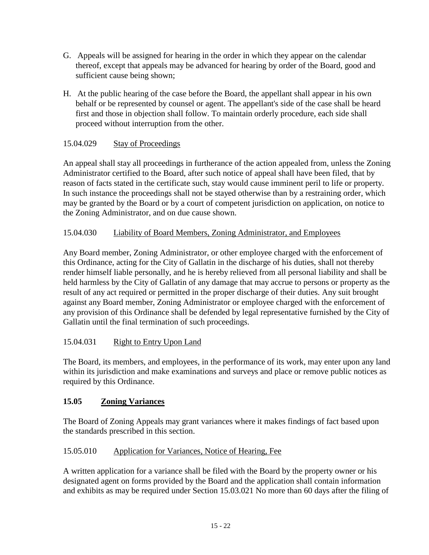- G. Appeals will be assigned for hearing in the order in which they appear on the calendar thereof, except that appeals may be advanced for hearing by order of the Board, good and sufficient cause being shown;
- H. At the public hearing of the case before the Board, the appellant shall appear in his own behalf or be represented by counsel or agent. The appellant's side of the case shall be heard first and those in objection shall follow. To maintain orderly procedure, each side shall proceed without interruption from the other.

# 15.04.029 Stay of Proceedings

An appeal shall stay all proceedings in furtherance of the action appealed from, unless the Zoning Administrator certified to the Board, after such notice of appeal shall have been filed, that by reason of facts stated in the certificate such, stay would cause imminent peril to life or property. In such instance the proceedings shall not be stayed otherwise than by a restraining order, which may be granted by the Board or by a court of competent jurisdiction on application, on notice to the Zoning Administrator, and on due cause shown.

# 15.04.030 Liability of Board Members, Zoning Administrator, and Employees

Any Board member, Zoning Administrator, or other employee charged with the enforcement of this Ordinance, acting for the City of Gallatin in the discharge of his duties, shall not thereby render himself liable personally, and he is hereby relieved from all personal liability and shall be held harmless by the City of Gallatin of any damage that may accrue to persons or property as the result of any act required or permitted in the proper discharge of their duties. Any suit brought against any Board member, Zoning Administrator or employee charged with the enforcement of any provision of this Ordinance shall be defended by legal representative furnished by the City of Gallatin until the final termination of such proceedings.

# 15.04.031 Right to Entry Upon Land

The Board, its members, and employees, in the performance of its work, may enter upon any land within its jurisdiction and make examinations and surveys and place or remove public notices as required by this Ordinance.

# **15.05 Zoning Variances**

The Board of Zoning Appeals may grant variances where it makes findings of fact based upon the standards prescribed in this section.

# 15.05.010 Application for Variances, Notice of Hearing, Fee

A written application for a variance shall be filed with the Board by the property owner or his designated agent on forms provided by the Board and the application shall contain information and exhibits as may be required under Section 15.03.021 No more than 60 days after the filing of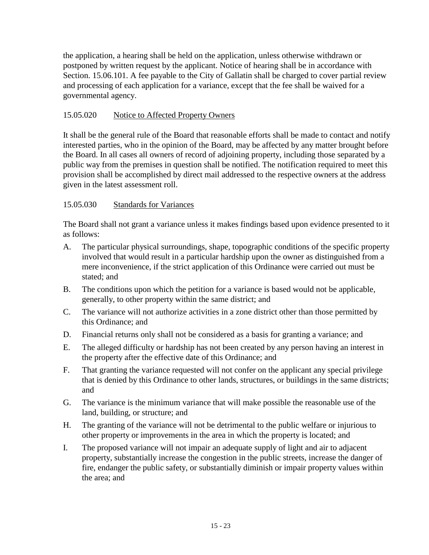the application, a hearing shall be held on the application, unless otherwise withdrawn or postponed by written request by the applicant. Notice of hearing shall be in accordance with Section. 15.06.101. A fee payable to the City of Gallatin shall be charged to cover partial review and processing of each application for a variance, except that the fee shall be waived for a governmental agency.

# 15.05.020 Notice to Affected Property Owners

It shall be the general rule of the Board that reasonable efforts shall be made to contact and notify interested parties, who in the opinion of the Board, may be affected by any matter brought before the Board. In all cases all owners of record of adjoining property, including those separated by a public way from the premises in question shall be notified. The notification required to meet this provision shall be accomplished by direct mail addressed to the respective owners at the address given in the latest assessment roll.

# 15.05.030 Standards for Variances

The Board shall not grant a variance unless it makes findings based upon evidence presented to it as follows:

- A. The particular physical surroundings, shape, topographic conditions of the specific property involved that would result in a particular hardship upon the owner as distinguished from a mere inconvenience, if the strict application of this Ordinance were carried out must be stated; and
- B. The conditions upon which the petition for a variance is based would not be applicable, generally, to other property within the same district; and
- C. The variance will not authorize activities in a zone district other than those permitted by this Ordinance; and
- D. Financial returns only shall not be considered as a basis for granting a variance; and
- E. The alleged difficulty or hardship has not been created by any person having an interest in the property after the effective date of this Ordinance; and
- F. That granting the variance requested will not confer on the applicant any special privilege that is denied by this Ordinance to other lands, structures, or buildings in the same districts; and
- G. The variance is the minimum variance that will make possible the reasonable use of the land, building, or structure; and
- H. The granting of the variance will not be detrimental to the public welfare or injurious to other property or improvements in the area in which the property is located; and
- I. The proposed variance will not impair an adequate supply of light and air to adjacent property, substantially increase the congestion in the public streets, increase the danger of fire, endanger the public safety, or substantially diminish or impair property values within the area; and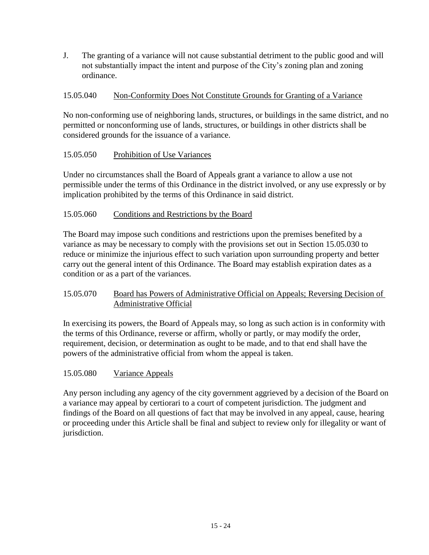J. The granting of a variance will not cause substantial detriment to the public good and will not substantially impact the intent and purpose of the City's zoning plan and zoning ordinance.

# 15.05.040 Non-Conformity Does Not Constitute Grounds for Granting of a Variance

No non-conforming use of neighboring lands, structures, or buildings in the same district, and no permitted or nonconforming use of lands, structures, or buildings in other districts shall be considered grounds for the issuance of a variance.

# 15.05.050 Prohibition of Use Variances

Under no circumstances shall the Board of Appeals grant a variance to allow a use not permissible under the terms of this Ordinance in the district involved, or any use expressly or by implication prohibited by the terms of this Ordinance in said district.

# 15.05.060 Conditions and Restrictions by the Board

The Board may impose such conditions and restrictions upon the premises benefited by a variance as may be necessary to comply with the provisions set out in Section 15.05.030 to reduce or minimize the injurious effect to such variation upon surrounding property and better carry out the general intent of this Ordinance. The Board may establish expiration dates as a condition or as a part of the variances.

# 15.05.070 Board has Powers of Administrative Official on Appeals; Reversing Decision of Administrative Official

In exercising its powers, the Board of Appeals may, so long as such action is in conformity with the terms of this Ordinance, reverse or affirm, wholly or partly, or may modify the order, requirement, decision, or determination as ought to be made, and to that end shall have the powers of the administrative official from whom the appeal is taken.

# 15.05.080 Variance Appeals

Any person including any agency of the city government aggrieved by a decision of the Board on a variance may appeal by certiorari to a court of competent jurisdiction. The judgment and findings of the Board on all questions of fact that may be involved in any appeal, cause, hearing or proceeding under this Article shall be final and subject to review only for illegality or want of jurisdiction.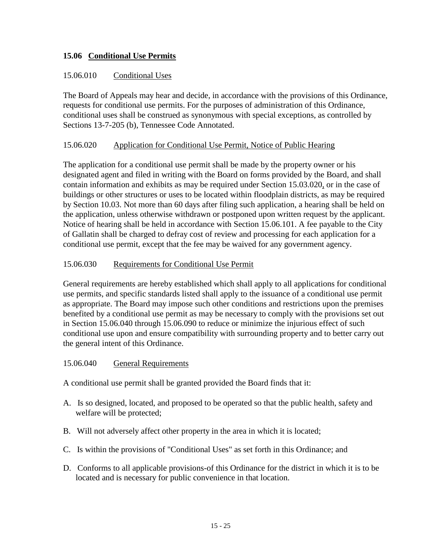# **15.06 Conditional Use Permits**

# 15.06.010 Conditional Uses

The Board of Appeals may hear and decide, in accordance with the provisions of this Ordinance, requests for conditional use permits. For the purposes of administration of this Ordinance, conditional uses shall be construed as synonymous with special exceptions, as controlled by Sections 13-7-205 (b), Tennessee Code Annotated.

### 15.06.020 Application for Conditional Use Permit, Notice of Public Hearing

The application for a conditional use permit shall be made by the property owner or his designated agent and filed in writing with the Board on forms provided by the Board, and shall contain information and exhibits as may be required under Section 15.03.020, or in the case of buildings or other structures or uses to be located within floodplain districts, as may be required by Section 10.03. Not more than 60 days after filing such application, a hearing shall be held on the application, unless otherwise withdrawn or postponed upon written request by the applicant. Notice of hearing shall be held in accordance with Section 15.06.101. A fee payable to the City of Gallatin shall be charged to defray cost of review and processing for each application for a conditional use permit, except that the fee may be waived for any government agency.

### 15.06.030 Requirements for Conditional Use Permit

General requirements are hereby established which shall apply to all applications for conditional use permits, and specific standards listed shall apply to the issuance of a conditional use permit as appropriate. The Board may impose such other conditions and restrictions upon the premises benefited by a conditional use permit as may be necessary to comply with the provisions set out in Section 15.06.040 through 15.06.090 to reduce or minimize the injurious effect of such conditional use upon and ensure compatibility with surrounding property and to better carry out the general intent of this Ordinance.

#### 15.06.040 General Requirements

A conditional use permit shall be granted provided the Board finds that it:

- A. Is so designed, located, and proposed to be operated so that the public health, safety and welfare will be protected;
- B. Will not adversely affect other property in the area in which it is located;
- C. Is within the provisions of "Conditional Uses" as set forth in this Ordinance; and
- D. Conforms to all applicable provisions-of this Ordinance for the district in which it is to be located and is necessary for public convenience in that location.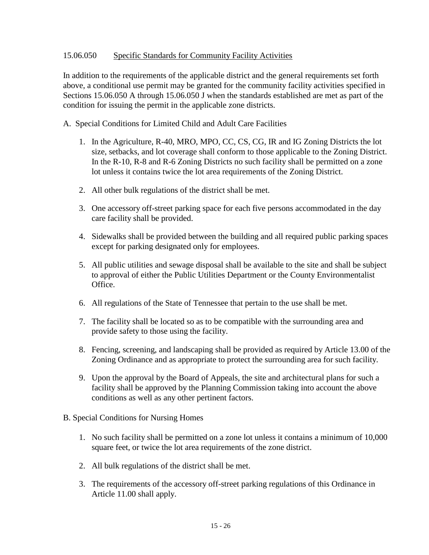### 15.06.050 Specific Standards for Community Facility Activities

In addition to the requirements of the applicable district and the general requirements set forth above, a conditional use permit may be granted for the community facility activities specified in Sections 15.06.050 A through 15.06.050 J when the standards established are met as part of the condition for issuing the permit in the applicable zone districts.

A. Special Conditions for Limited Child and Adult Care Facilities

- 1. In the Agriculture, R-40, MRO, MPO, CC, CS, CG, IR and IG Zoning Districts the lot size, setbacks, and lot coverage shall conform to those applicable to the Zoning District. In the R-10, R-8 and R-6 Zoning Districts no such facility shall be permitted on a zone lot unless it contains twice the lot area requirements of the Zoning District.
- 2. All other bulk regulations of the district shall be met.
- 3. One accessory off-street parking space for each five persons accommodated in the day care facility shall be provided.
- 4. Sidewalks shall be provided between the building and all required public parking spaces except for parking designated only for employees.
- 5. All public utilities and sewage disposal shall be available to the site and shall be subject to approval of either the Public Utilities Department or the County Environmentalist Office.
- 6. All regulations of the State of Tennessee that pertain to the use shall be met.
- 7. The facility shall be located so as to be compatible with the surrounding area and provide safety to those using the facility.
- 8. Fencing, screening, and landscaping shall be provided as required by Article 13.00 of the Zoning Ordinance and as appropriate to protect the surrounding area for such facility.
- 9. Upon the approval by the Board of Appeals, the site and architectural plans for such a facility shall be approved by the Planning Commission taking into account the above conditions as well as any other pertinent factors.
- B. Special Conditions for Nursing Homes
	- 1. No such facility shall be permitted on a zone lot unless it contains a minimum of 10,000 square feet, or twice the lot area requirements of the zone district.
	- 2. All bulk regulations of the district shall be met.
	- 3. The requirements of the accessory off-street parking regulations of this Ordinance in Article 11.00 shall apply.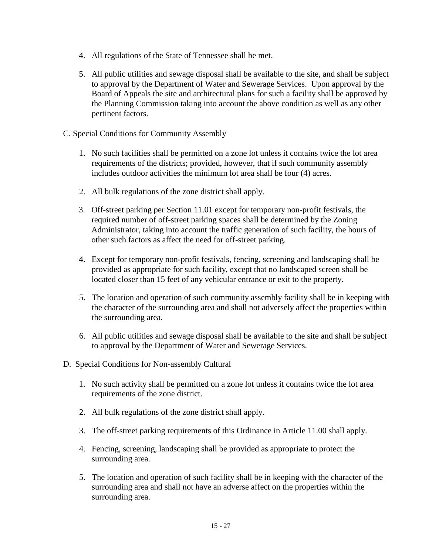- 4. All regulations of the State of Tennessee shall be met.
- 5. All public utilities and sewage disposal shall be available to the site, and shall be subject to approval by the Department of Water and Sewerage Services. Upon approval by the Board of Appeals the site and architectural plans for such a facility shall be approved by the Planning Commission taking into account the above condition as well as any other pertinent factors.
- C. Special Conditions for Community Assembly
	- 1. No such facilities shall be permitted on a zone lot unless it contains twice the lot area requirements of the districts; provided, however, that if such community assembly includes outdoor activities the minimum lot area shall be four (4) acres.
	- 2. All bulk regulations of the zone district shall apply.
	- 3. Off-street parking per Section 11.01 except for temporary non-profit festivals, the required number of off-street parking spaces shall be determined by the Zoning Administrator, taking into account the traffic generation of such facility, the hours of other such factors as affect the need for off-street parking.
	- 4. Except for temporary non-profit festivals, fencing, screening and landscaping shall be provided as appropriate for such facility, except that no landscaped screen shall be located closer than 15 feet of any vehicular entrance or exit to the property.
	- 5. The location and operation of such community assembly facility shall be in keeping with the character of the surrounding area and shall not adversely affect the properties within the surrounding area.
	- 6. All public utilities and sewage disposal shall be available to the site and shall be subject to approval by the Department of Water and Sewerage Services.
- D. Special Conditions for Non-assembly Cultural
	- 1. No such activity shall be permitted on a zone lot unless it contains twice the lot area requirements of the zone district.
	- 2. All bulk regulations of the zone district shall apply.
	- 3. The off-street parking requirements of this Ordinance in Article 11.00 shall apply.
	- 4. Fencing, screening, landscaping shall be provided as appropriate to protect the surrounding area.
	- 5. The location and operation of such facility shall be in keeping with the character of the surrounding area and shall not have an adverse affect on the properties within the surrounding area.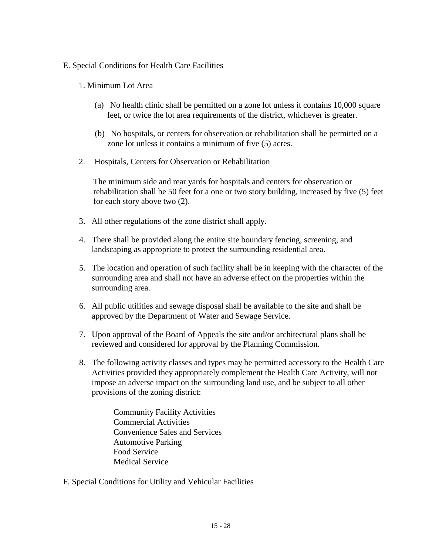### E. Special Conditions for Health Care Facilities

### 1. Minimum Lot Area

- (a) No health clinic shall be permitted on a zone lot unless it contains 10,000 square feet, or twice the lot area requirements of the district, whichever is greater.
- (b) No hospitals, or centers for observation or rehabilitation shall be permitted on a zone lot unless it contains a minimum of five (5) acres.
- 2. Hospitals, Centers for Observation or Rehabilitation

The minimum side and rear yards for hospitals and centers for observation or rehabilitation shall be 50 feet for a one or two story building, increased by five (5) feet for each story above two (2).

- 3. All other regulations of the zone district shall apply.
- 4. There shall be provided along the entire site boundary fencing, screening, and landscaping as appropriate to protect the surrounding residential area.
- 5. The location and operation of such facility shall be in keeping with the character of the surrounding area and shall not have an adverse effect on the properties within the surrounding area.
- 6. All public utilities and sewage disposal shall be available to the site and shall be approved by the Department of Water and Sewage Service.
- 7. Upon approval of the Board of Appeals the site and/or architectural plans shall be reviewed and considered for approval by the Planning Commission.
- 8. The following activity classes and types may be permitted accessory to the Health Care Activities provided they appropriately complement the Health Care Activity, will not impose an adverse impact on the surrounding land use, and be subject to all other provisions of the zoning district:

Community Facility Activities Commercial Activities Convenience Sales and Services Automotive Parking Food Service Medical Service

F. Special Conditions for Utility and Vehicular Facilities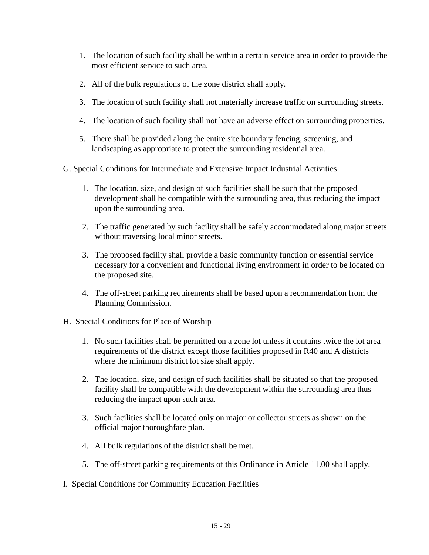- 1. The location of such facility shall be within a certain service area in order to provide the most efficient service to such area.
- 2. All of the bulk regulations of the zone district shall apply.
- 3. The location of such facility shall not materially increase traffic on surrounding streets.
- 4. The location of such facility shall not have an adverse effect on surrounding properties.
- 5. There shall be provided along the entire site boundary fencing, screening, and landscaping as appropriate to protect the surrounding residential area.
- G. Special Conditions for Intermediate and Extensive Impact Industrial Activities
	- 1. The location, size, and design of such facilities shall be such that the proposed development shall be compatible with the surrounding area, thus reducing the impact upon the surrounding area.
	- 2. The traffic generated by such facility shall be safely accommodated along major streets without traversing local minor streets.
	- 3. The proposed facility shall provide a basic community function or essential service necessary for a convenient and functional living environment in order to be located on the proposed site.
	- 4. The off-street parking requirements shall be based upon a recommendation from the Planning Commission.
- H. Special Conditions for Place of Worship
	- 1. No such facilities shall be permitted on a zone lot unless it contains twice the lot area requirements of the district except those facilities proposed in R40 and A districts where the minimum district lot size shall apply.
	- 2. The location, size, and design of such facilities shall be situated so that the proposed facility shall be compatible with the development within the surrounding area thus reducing the impact upon such area.
	- 3. Such facilities shall be located only on major or collector streets as shown on the official major thoroughfare plan.
	- 4. All bulk regulations of the district shall be met.
	- 5. The off-street parking requirements of this Ordinance in Article 11.00 shall apply.
- I. Special Conditions for Community Education Facilities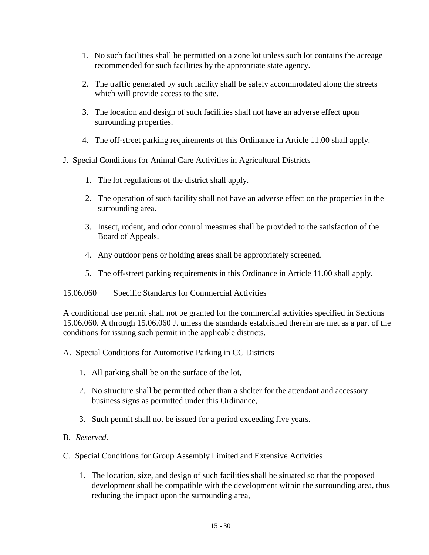- 1. No such facilities shall be permitted on a zone lot unless such lot contains the acreage recommended for such facilities by the appropriate state agency.
- 2. The traffic generated by such facility shall be safely accommodated along the streets which will provide access to the site.
- 3. The location and design of such facilities shall not have an adverse effect upon surrounding properties.
- 4. The off-street parking requirements of this Ordinance in Article 11.00 shall apply.

# J. Special Conditions for Animal Care Activities in Agricultural Districts

- 1. The lot regulations of the district shall apply.
- 2. The operation of such facility shall not have an adverse effect on the properties in the surrounding area.
- 3. Insect, rodent, and odor control measures shall be provided to the satisfaction of the Board of Appeals.
- 4. Any outdoor pens or holding areas shall be appropriately screened.
- 5. The off-street parking requirements in this Ordinance in Article 11.00 shall apply.

# 15.06.060 Specific Standards for Commercial Activities

A conditional use permit shall not be granted for the commercial activities specified in Sections 15.06.060. A through 15.06.060 J. unless the standards established therein are met as a part of the conditions for issuing such permit in the applicable districts.

- A. Special Conditions for Automotive Parking in CC Districts
	- 1. All parking shall be on the surface of the lot,
	- 2. No structure shall be permitted other than a shelter for the attendant and accessory business signs as permitted under this Ordinance,
	- 3. Such permit shall not be issued for a period exceeding five years.

# B. *Reserved.*

# C. Special Conditions for Group Assembly Limited and Extensive Activities

1. The location, size, and design of such facilities shall be situated so that the proposed development shall be compatible with the development within the surrounding area, thus reducing the impact upon the surrounding area,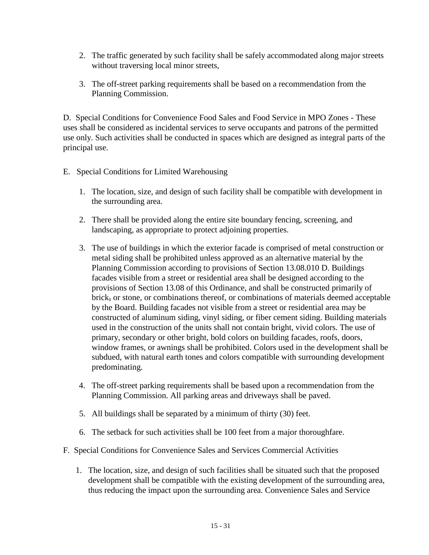- 2. The traffic generated by such facility shall be safely accommodated along major streets without traversing local minor streets,
- 3. The off-street parking requirements shall be based on a recommendation from the Planning Commission.

D. Special Conditions for Convenience Food Sales and Food Service in MPO Zones - These uses shall be considered as incidental services to serve occupants and patrons of the permitted use only. Such activities shall be conducted in spaces which are designed as integral parts of the principal use.

- E. Special Conditions for Limited Warehousing
	- 1. The location, size, and design of such facility shall be compatible with development in the surrounding area.
	- 2. There shall be provided along the entire site boundary fencing, screening, and landscaping, as appropriate to protect adjoining properties.
	- 3. The use of buildings in which the exterior facade is comprised of metal construction or metal siding shall be prohibited unless approved as an alternative material by the Planning Commission according to provisions of Section 13.08.010 D. Buildings facades visible from a street or residential area shall be designed according to the provisions of Section 13.08 of this Ordinance, and shall be constructed primarily of brick, or stone, or combinations thereof, or combinations of materials deemed acceptable by the Board. Building facades not visible from a street or residential area may be constructed of aluminum siding, vinyl siding, or fiber cement siding. Building materials used in the construction of the units shall not contain bright, vivid colors. The use of primary, secondary or other bright, bold colors on building facades, roofs, doors, window frames, or awnings shall be prohibited. Colors used in the development shall be subdued, with natural earth tones and colors compatible with surrounding development predominating.
	- 4. The off-street parking requirements shall be based upon a recommendation from the Planning Commission. All parking areas and driveways shall be paved.
	- 5. All buildings shall be separated by a minimum of thirty (30) feet.
	- 6. The setback for such activities shall be 100 feet from a major thoroughfare.
- F. Special Conditions for Convenience Sales and Services Commercial Activities
	- 1. The location, size, and design of such facilities shall be situated such that the proposed development shall be compatible with the existing development of the surrounding area, thus reducing the impact upon the surrounding area. Convenience Sales and Service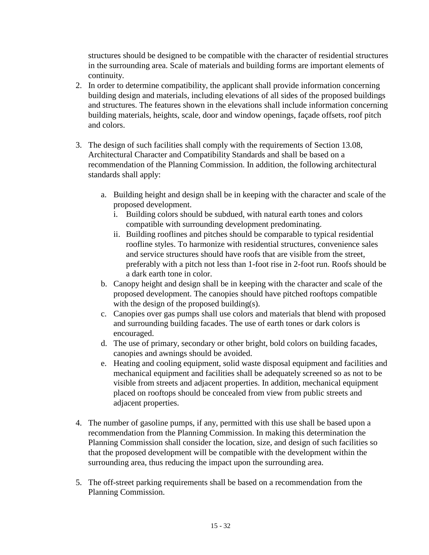structures should be designed to be compatible with the character of residential structures in the surrounding area. Scale of materials and building forms are important elements of continuity.

- 2. In order to determine compatibility, the applicant shall provide information concerning building design and materials, including elevations of all sides of the proposed buildings and structures. The features shown in the elevations shall include information concerning building materials, heights, scale, door and window openings, façade offsets, roof pitch and colors.
- 3. The design of such facilities shall comply with the requirements of Section 13.08, Architectural Character and Compatibility Standards and shall be based on a recommendation of the Planning Commission. In addition, the following architectural standards shall apply:
	- a. Building height and design shall be in keeping with the character and scale of the proposed development.
		- i. Building colors should be subdued, with natural earth tones and colors compatible with surrounding development predominating.
		- ii. Building rooflines and pitches should be comparable to typical residential roofline styles. To harmonize with residential structures, convenience sales and service structures should have roofs that are visible from the street, preferably with a pitch not less than 1-foot rise in 2-foot run. Roofs should be a dark earth tone in color.
	- b. Canopy height and design shall be in keeping with the character and scale of the proposed development. The canopies should have pitched rooftops compatible with the design of the proposed building(s).
	- c. Canopies over gas pumps shall use colors and materials that blend with proposed and surrounding building facades. The use of earth tones or dark colors is encouraged.
	- d. The use of primary, secondary or other bright, bold colors on building facades, canopies and awnings should be avoided.
	- e. Heating and cooling equipment, solid waste disposal equipment and facilities and mechanical equipment and facilities shall be adequately screened so as not to be visible from streets and adjacent properties. In addition, mechanical equipment placed on rooftops should be concealed from view from public streets and adjacent properties.
- 4. The number of gasoline pumps, if any, permitted with this use shall be based upon a recommendation from the Planning Commission. In making this determination the Planning Commission shall consider the location, size, and design of such facilities so that the proposed development will be compatible with the development within the surrounding area, thus reducing the impact upon the surrounding area.
- 5. The off-street parking requirements shall be based on a recommendation from the Planning Commission.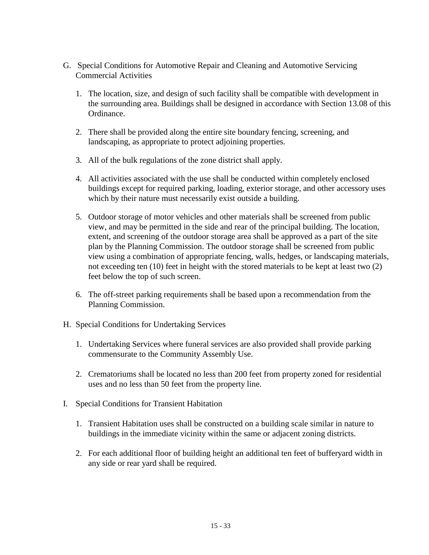- G. Special Conditions for Automotive Repair and Cleaning and Automotive Servicing Commercial Activities
	- 1. The location, size, and design of such facility shall be compatible with development in the surrounding area. Buildings shall be designed in accordance with Section 13.08 of this Ordinance.
	- 2. There shall be provided along the entire site boundary fencing, screening, and landscaping, as appropriate to protect adjoining properties.
	- 3. All of the bulk regulations of the zone district shall apply.
	- 4. All activities associated with the use shall be conducted within completely enclosed buildings except for required parking, loading, exterior storage, and other accessory uses which by their nature must necessarily exist outside a building.
	- 5. Outdoor storage of motor vehicles and other materials shall be screened from public view, and may be permitted in the side and rear of the principal building. The location, extent, and screening of the outdoor storage area shall be approved as a part of the site plan by the Planning Commission. The outdoor storage shall be screened from public view using a combination of appropriate fencing, walls, hedges, or landscaping materials, not exceeding ten (10) feet in height with the stored materials to be kept at least two (2) feet below the top of such screen.
	- 6. The off-street parking requirements shall be based upon a recommendation from the Planning Commission.
- H. Special Conditions for Undertaking Services
	- 1. Undertaking Services where funeral services are also provided shall provide parking commensurate to the Community Assembly Use.
	- 2. Crematoriums shall be located no less than 200 feet from property zoned for residential uses and no less than 50 feet from the property line.
- I. Special Conditions for Transient Habitation
	- 1. Transient Habitation uses shall be constructed on a building scale similar in nature to buildings in the immediate vicinity within the same or adjacent zoning districts.
	- 2. For each additional floor of building height an additional ten feet of bufferyard width in any side or rear yard shall be required.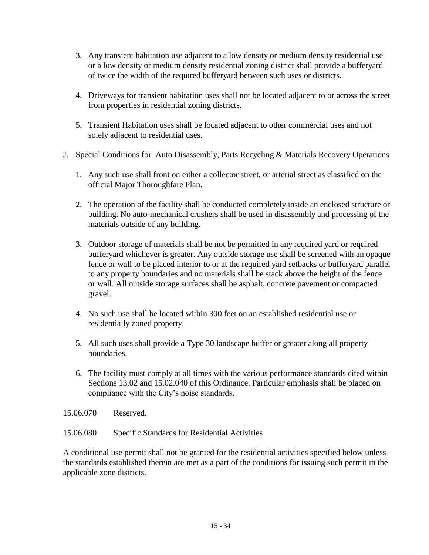- 3. Any transient habitation use adjacent to a low density or medium density residential use or a low density or medium density residential zoning district shall provide a bufferyard of twice the width of the required bufferyard between such uses or districts.
- 4. Driveways for transient habitation uses shall not be located adjacent to or across the street from properties in residential zoning districts.
- 5. Transient Habitation uses shall be located adjacent to other commercial uses and not solely adjacent to residential uses.
- J. Special Conditions for Auto Disassembly, Parts Recycling & Materials Recovery Operations
	- 1. Any such use shall front on either a collector street, or arterial street as classified on the official Major Thoroughfare Plan.
	- 2. The operation of the facility shall be conducted completely inside an enclosed structure or building. No auto-mechanical crushers shall be used in disassembly and processing of the materials outside of any building.
	- 3. Outdoor storage of materials shall be not be permitted in any required yard or required bufferyard whichever is greater. Any outside storage use shall be screened with an opaque fence or wall to be placed interior to or at the required yard setbacks or bufferyard parallel to any property boundaries and no materials shall be stack above the height of the fence or wall. All outside storage surfaces shall be asphalt, concrete pavement or compacted gravel.
	- 4. No such use shall be located within 300 feet on an established residential use or residentially zoned property.
	- 5. All such uses shall provide a Type 30 landscape buffer or greater along all property boundaries.
	- 6. The facility must comply at all times with the various performance standards cited within Sections 13.02 and 15.02.040 of this Ordinance. Particular emphasis shall be placed on compliance with the City's noise standards.
- 15.06.070 Reserved.

# 15.06.080 Specific Standards for Residential Activities

A conditional use permit shall not be granted for the residential activities specified below unless the standards established therein are met as a part of the conditions for issuing such permit in the applicable zone districts.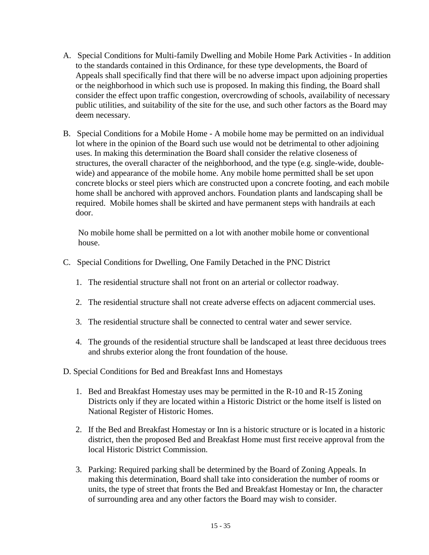- A. Special Conditions for Multi-family Dwelling and Mobile Home Park Activities In addition to the standards contained in this Ordinance, for these type developments, the Board of Appeals shall specifically find that there will be no adverse impact upon adjoining properties or the neighborhood in which such use is proposed. In making this finding, the Board shall consider the effect upon traffic congestion, overcrowding of schools, availability of necessary public utilities, and suitability of the site for the use, and such other factors as the Board may deem necessary.
- B. Special Conditions for a Mobile Home A mobile home may be permitted on an individual lot where in the opinion of the Board such use would not be detrimental to other adjoining uses. In making this determination the Board shall consider the relative closeness of structures, the overall character of the neighborhood, and the type (e.g. single-wide, doublewide) and appearance of the mobile home. Any mobile home permitted shall be set upon concrete blocks or steel piers which are constructed upon a concrete footing, and each mobile home shall be anchored with approved anchors. Foundation plants and landscaping shall be required. Mobile homes shall be skirted and have permanent steps with handrails at each door.

No mobile home shall be permitted on a lot with another mobile home or conventional house.

- C. Special Conditions for Dwelling, One Family Detached in the PNC District
	- 1. The residential structure shall not front on an arterial or collector roadway.
	- 2. The residential structure shall not create adverse effects on adjacent commercial uses.
	- 3. The residential structure shall be connected to central water and sewer service.
	- 4. The grounds of the residential structure shall be landscaped at least three deciduous trees and shrubs exterior along the front foundation of the house.

D. Special Conditions for Bed and Breakfast Inns and Homestays

- 1. Bed and Breakfast Homestay uses may be permitted in the R-10 and R-15 Zoning Districts only if they are located within a Historic District or the home itself is listed on National Register of Historic Homes.
- 2. If the Bed and Breakfast Homestay or Inn is a historic structure or is located in a historic district, then the proposed Bed and Breakfast Home must first receive approval from the local Historic District Commission.
- 3. Parking: Required parking shall be determined by the Board of Zoning Appeals. In making this determination, Board shall take into consideration the number of rooms or units, the type of street that fronts the Bed and Breakfast Homestay or Inn, the character of surrounding area and any other factors the Board may wish to consider.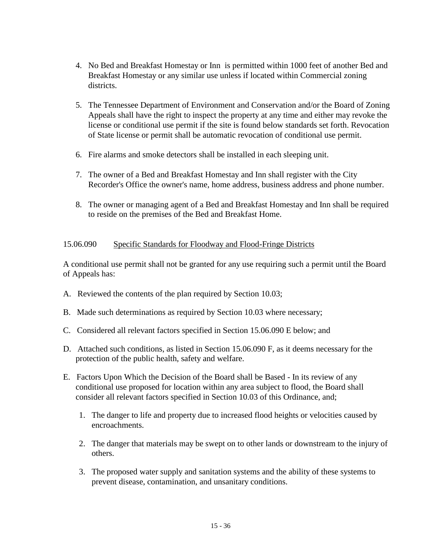- 4. No Bed and Breakfast Homestay or Inn is permitted within 1000 feet of another Bed and Breakfast Homestay or any similar use unless if located within Commercial zoning districts.
- 5. The Tennessee Department of Environment and Conservation and/or the Board of Zoning Appeals shall have the right to inspect the property at any time and either may revoke the license or conditional use permit if the site is found below standards set forth. Revocation of State license or permit shall be automatic revocation of conditional use permit.
- 6. Fire alarms and smoke detectors shall be installed in each sleeping unit.
- 7. The owner of a Bed and Breakfast Homestay and Inn shall register with the City Recorder's Office the owner's name, home address, business address and phone number.
- 8. The owner or managing agent of a Bed and Breakfast Homestay and Inn shall be required to reside on the premises of the Bed and Breakfast Home.

### 15.06.090 Specific Standards for Floodway and Flood-Fringe Districts

A conditional use permit shall not be granted for any use requiring such a permit until the Board of Appeals has:

- A. Reviewed the contents of the plan required by Section 10.03;
- B. Made such determinations as required by Section 10.03 where necessary;
- C. Considered all relevant factors specified in Section 15.06.090 E below; and
- D. Attached such conditions, as listed in Section 15.06.090 F, as it deems necessary for the protection of the public health, safety and welfare.
- E. Factors Upon Which the Decision of the Board shall be Based In its review of any conditional use proposed for location within any area subject to flood, the Board shall consider all relevant factors specified in Section 10.03 of this Ordinance, and;
	- 1. The danger to life and property due to increased flood heights or velocities caused by encroachments.
	- 2. The danger that materials may be swept on to other lands or downstream to the injury of others.
	- 3. The proposed water supply and sanitation systems and the ability of these systems to prevent disease, contamination, and unsanitary conditions.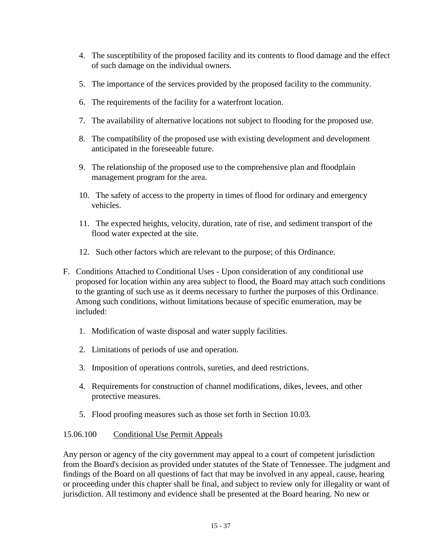- 4. The susceptibility of the proposed facility and its contents to flood damage and the effect of such damage on the individual owners.
- 5. The importance of the services provided by the proposed facility to the community.
- 6. The requirements of the facility for a waterfront location.
- 7. The availability of alternative locations not subject to flooding for the proposed use.
- 8. The compatibility of the proposed use with existing development and development anticipated in the foreseeable future.
- 9. The relationship of the proposed use to the comprehensive plan and floodplain management program for the area.
- 10. The safety of access to the property in times of flood for ordinary and emergency vehicles.
- 11. The expected heights, velocity, duration, rate of rise, and sediment transport of the flood water expected at the site.
- 12. Such other factors which are relevant to the purpose; of this Ordinance.
- F. Conditions Attached to Conditional Uses Upon consideration of any conditional use proposed for location within any area subject to flood, the Board may attach such conditions to the granting of such use as it deems necessary to further the purposes of this Ordinance. Among such conditions, without limitations because of specific enumeration, may be included:
	- 1. Modification of waste disposal and water supply facilities.
	- 2. Limitations of periods of use and operation.
	- 3. Imposition of operations controls, sureties, and deed restrictions.
	- 4. Requirements for construction of channel modifications, dikes, levees, and other protective measures.
	- 5. Flood proofing measures such as those set forth in Section 10.03.

# 15.06.100 Conditional Use Permit Appeals

Any person or agency of the city government may appeal to a court of competent jurisdiction from the Board's decision as provided under statutes of the State of Tennessee. The judgment and findings of the Board on all questions of fact that may be involved in any appeal, cause, hearing or proceeding under this chapter shall be final, and subject to review only for illegality or want of jurisdiction. All testimony and evidence shall be presented at the Board hearing. No new or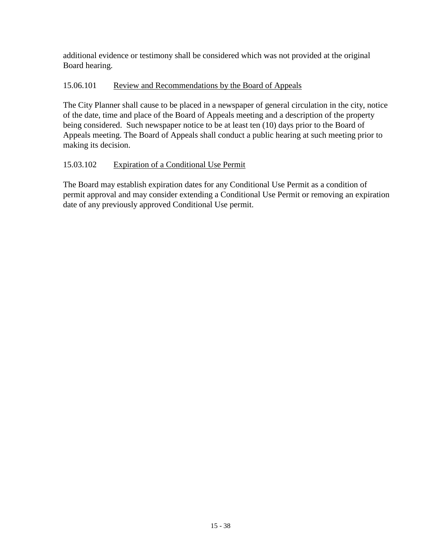additional evidence or testimony shall be considered which was not provided at the original Board hearing.

# 15.06.101 Review and Recommendations by the Board of Appeals

The City Planner shall cause to be placed in a newspaper of general circulation in the city, notice of the date, time and place of the Board of Appeals meeting and a description of the property being considered. Such newspaper notice to be at least ten (10) days prior to the Board of Appeals meeting. The Board of Appeals shall conduct a public hearing at such meeting prior to making its decision.

# 15.03.102 Expiration of a Conditional Use Permit

The Board may establish expiration dates for any Conditional Use Permit as a condition of permit approval and may consider extending a Conditional Use Permit or removing an expiration date of any previously approved Conditional Use permit.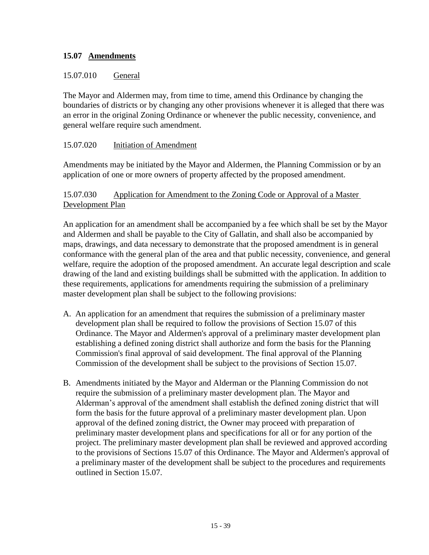# **15.07 Amendments**

# 15.07.010 General

The Mayor and Aldermen may, from time to time, amend this Ordinance by changing the boundaries of districts or by changing any other provisions whenever it is alleged that there was an error in the original Zoning Ordinance or whenever the public necessity, convenience, and general welfare require such amendment.

# 15.07.020 Initiation of Amendment

Amendments may be initiated by the Mayor and Aldermen, the Planning Commission or by an application of one or more owners of property affected by the proposed amendment.

# 15.07.030 Application for Amendment to the Zoning Code or Approval of a Master Development Plan

An application for an amendment shall be accompanied by a fee which shall be set by the Mayor and Aldermen and shall be payable to the City of Gallatin, and shall also be accompanied by maps, drawings, and data necessary to demonstrate that the proposed amendment is in general conformance with the general plan of the area and that public necessity, convenience, and general welfare, require the adoption of the proposed amendment. An accurate legal description and scale drawing of the land and existing buildings shall be submitted with the application. In addition to these requirements, applications for amendments requiring the submission of a preliminary master development plan shall be subject to the following provisions:

- A. An application for an amendment that requires the submission of a preliminary master development plan shall be required to follow the provisions of Section 15.07 of this Ordinance. The Mayor and Aldermen's approval of a preliminary master development plan establishing a defined zoning district shall authorize and form the basis for the Planning Commission's final approval of said development. The final approval of the Planning Commission of the development shall be subject to the provisions of Section 15.07.
- B. Amendments initiated by the Mayor and Alderman or the Planning Commission do not require the submission of a preliminary master development plan. The Mayor and Alderman's approval of the amendment shall establish the defined zoning district that will form the basis for the future approval of a preliminary master development plan. Upon approval of the defined zoning district, the Owner may proceed with preparation of preliminary master development plans and specifications for all or for any portion of the project. The preliminary master development plan shall be reviewed and approved according to the provisions of Sections 15.07 of this Ordinance. The Mayor and Aldermen's approval of a preliminary master of the development shall be subject to the procedures and requirements outlined in Section 15.07.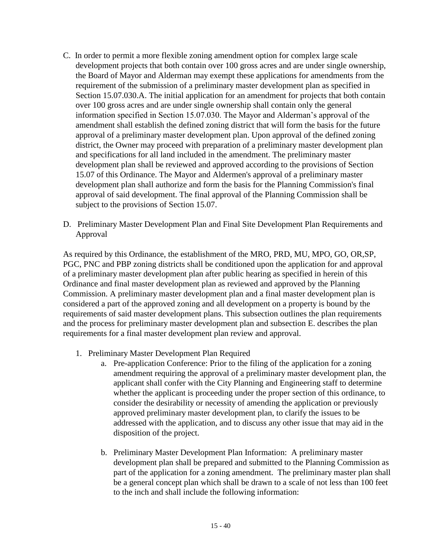- C. In order to permit a more flexible zoning amendment option for complex large scale development projects that both contain over 100 gross acres and are under single ownership, the Board of Mayor and Alderman may exempt these applications for amendments from the requirement of the submission of a preliminary master development plan as specified in Section 15.07.030.A. The initial application for an amendment for projects that both contain over 100 gross acres and are under single ownership shall contain only the general information specified in Section 15.07.030. The Mayor and Alderman's approval of the amendment shall establish the defined zoning district that will form the basis for the future approval of a preliminary master development plan. Upon approval of the defined zoning district, the Owner may proceed with preparation of a preliminary master development plan and specifications for all land included in the amendment. The preliminary master development plan shall be reviewed and approved according to the provisions of Section 15.07 of this Ordinance. The Mayor and Aldermen's approval of a preliminary master development plan shall authorize and form the basis for the Planning Commission's final approval of said development. The final approval of the Planning Commission shall be subject to the provisions of Section 15.07.
- D. Preliminary Master Development Plan and Final Site Development Plan Requirements and Approval

As required by this Ordinance, the establishment of the MRO, PRD, MU, MPO, GO, OR,SP, PGC, PNC and PBP zoning districts shall be conditioned upon the application for and approval of a preliminary master development plan after public hearing as specified in herein of this Ordinance and final master development plan as reviewed and approved by the Planning Commission. A preliminary master development plan and a final master development plan is considered a part of the approved zoning and all development on a property is bound by the requirements of said master development plans. This subsection outlines the plan requirements and the process for preliminary master development plan and subsection E. describes the plan requirements for a final master development plan review and approval.

- 1. Preliminary Master Development Plan Required
	- a. Pre-application Conference: Prior to the filing of the application for a zoning amendment requiring the approval of a preliminary master development plan, the applicant shall confer with the City Planning and Engineering staff to determine whether the applicant is proceeding under the proper section of this ordinance, to consider the desirability or necessity of amending the application or previously approved preliminary master development plan, to clarify the issues to be addressed with the application, and to discuss any other issue that may aid in the disposition of the project.
	- b. Preliminary Master Development Plan Information: A preliminary master development plan shall be prepared and submitted to the Planning Commission as part of the application for a zoning amendment. The preliminary master plan shall be a general concept plan which shall be drawn to a scale of not less than 100 feet to the inch and shall include the following information: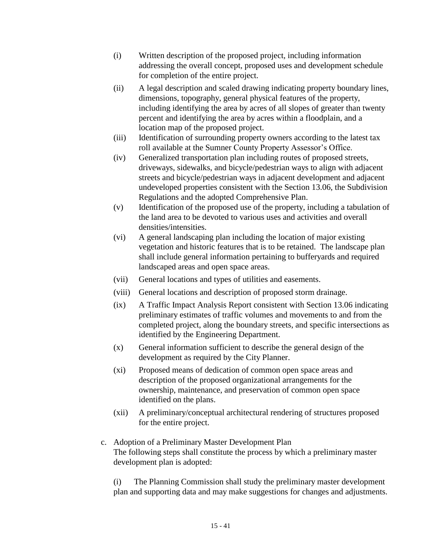- (i) Written description of the proposed project, including information addressing the overall concept, proposed uses and development schedule for completion of the entire project.
- (ii) A legal description and scaled drawing indicating property boundary lines, dimensions, topography, general physical features of the property, including identifying the area by acres of all slopes of greater than twenty percent and identifying the area by acres within a floodplain, and a location map of the proposed project.
- (iii) Identification of surrounding property owners according to the latest tax roll available at the Sumner County Property Assessor's Office.
- (iv) Generalized transportation plan including routes of proposed streets, driveways, sidewalks, and bicycle/pedestrian ways to align with adjacent streets and bicycle/pedestrian ways in adjacent development and adjacent undeveloped properties consistent with the Section 13.06, the Subdivision Regulations and the adopted Comprehensive Plan.
- (v) Identification of the proposed use of the property, including a tabulation of the land area to be devoted to various uses and activities and overall densities/intensities.
- (vi) A general landscaping plan including the location of major existing vegetation and historic features that is to be retained. The landscape plan shall include general information pertaining to bufferyards and required landscaped areas and open space areas.
- (vii) General locations and types of utilities and easements.
- (viii) General locations and description of proposed storm drainage.
- (ix) A Traffic Impact Analysis Report consistent with Section 13.06 indicating preliminary estimates of traffic volumes and movements to and from the completed project, along the boundary streets, and specific intersections as identified by the Engineering Department.
- (x) General information sufficient to describe the general design of the development as required by the City Planner.
- (xi) Proposed means of dedication of common open space areas and description of the proposed organizational arrangements for the ownership, maintenance, and preservation of common open space identified on the plans.
- (xii) A preliminary/conceptual architectural rendering of structures proposed for the entire project.
- c. Adoption of a Preliminary Master Development Plan The following steps shall constitute the process by which a preliminary master development plan is adopted:

(i) The Planning Commission shall study the preliminary master development plan and supporting data and may make suggestions for changes and adjustments.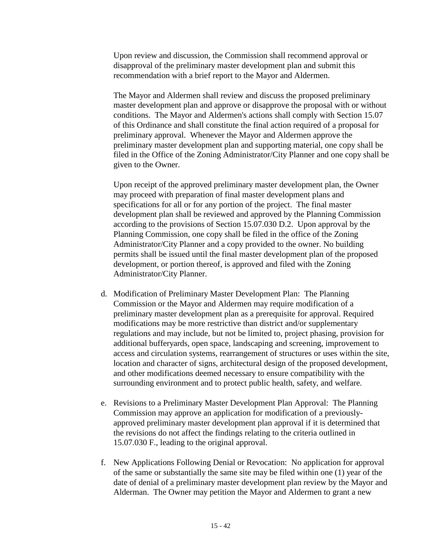Upon review and discussion, the Commission shall recommend approval or disapproval of the preliminary master development plan and submit this recommendation with a brief report to the Mayor and Aldermen.

The Mayor and Aldermen shall review and discuss the proposed preliminary master development plan and approve or disapprove the proposal with or without conditions. The Mayor and Aldermen's actions shall comply with Section 15.07 of this Ordinance and shall constitute the final action required of a proposal for preliminary approval. Whenever the Mayor and Aldermen approve the preliminary master development plan and supporting material, one copy shall be filed in the Office of the Zoning Administrator/City Planner and one copy shall be given to the Owner.

Upon receipt of the approved preliminary master development plan, the Owner may proceed with preparation of final master development plans and specifications for all or for any portion of the project. The final master development plan shall be reviewed and approved by the Planning Commission according to the provisions of Section 15.07.030 D.2. Upon approval by the Planning Commission, one copy shall be filed in the office of the Zoning Administrator/City Planner and a copy provided to the owner. No building permits shall be issued until the final master development plan of the proposed development, or portion thereof, is approved and filed with the Zoning Administrator/City Planner.

- d. Modification of Preliminary Master Development Plan: The Planning Commission or the Mayor and Aldermen may require modification of a preliminary master development plan as a prerequisite for approval. Required modifications may be more restrictive than district and/or supplementary regulations and may include, but not be limited to, project phasing, provision for additional bufferyards, open space, landscaping and screening, improvement to access and circulation systems, rearrangement of structures or uses within the site, location and character of signs, architectural design of the proposed development, and other modifications deemed necessary to ensure compatibility with the surrounding environment and to protect public health, safety, and welfare.
- e. Revisions to a Preliminary Master Development Plan Approval: The Planning Commission may approve an application for modification of a previouslyapproved preliminary master development plan approval if it is determined that the revisions do not affect the findings relating to the criteria outlined in 15.07.030 F., leading to the original approval.
- f. New Applications Following Denial or Revocation: No application for approval of the same or substantially the same site may be filed within one (1) year of the date of denial of a preliminary master development plan review by the Mayor and Alderman. The Owner may petition the Mayor and Aldermen to grant a new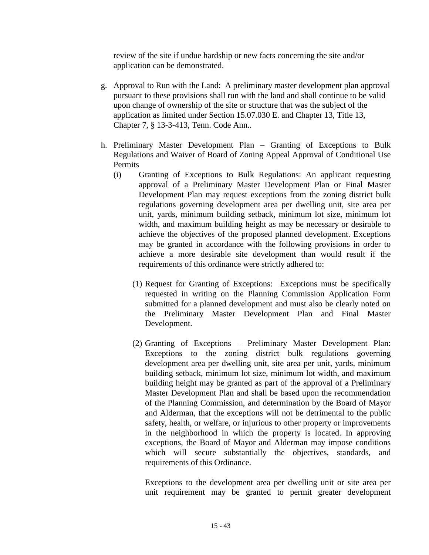review of the site if undue hardship or new facts concerning the site and/or application can be demonstrated.

- g. Approval to Run with the Land: A preliminary master development plan approval pursuant to these provisions shall run with the land and shall continue to be valid upon change of ownership of the site or structure that was the subject of the application as limited under Section 15.07.030 E. and Chapter 13, Title 13, Chapter 7, § 13-3-413, Tenn. Code Ann..
- h. Preliminary Master Development Plan Granting of Exceptions to Bulk Regulations and Waiver of Board of Zoning Appeal Approval of Conditional Use Permits
	- (i) Granting of Exceptions to Bulk Regulations: An applicant requesting approval of a Preliminary Master Development Plan or Final Master Development Plan may request exceptions from the zoning district bulk regulations governing development area per dwelling unit, site area per unit, yards, minimum building setback, minimum lot size, minimum lot width, and maximum building height as may be necessary or desirable to achieve the objectives of the proposed planned development. Exceptions may be granted in accordance with the following provisions in order to achieve a more desirable site development than would result if the requirements of this ordinance were strictly adhered to:
		- (1) Request for Granting of Exceptions: Exceptions must be specifically requested in writing on the Planning Commission Application Form submitted for a planned development and must also be clearly noted on the Preliminary Master Development Plan and Final Master Development.
		- (2) Granting of Exceptions Preliminary Master Development Plan: Exceptions to the zoning district bulk regulations governing development area per dwelling unit, site area per unit, yards, minimum building setback, minimum lot size, minimum lot width, and maximum building height may be granted as part of the approval of a Preliminary Master Development Plan and shall be based upon the recommendation of the Planning Commission, and determination by the Board of Mayor and Alderman, that the exceptions will not be detrimental to the public safety, health, or welfare, or injurious to other property or improvements in the neighborhood in which the property is located. In approving exceptions, the Board of Mayor and Alderman may impose conditions which will secure substantially the objectives, standards, and requirements of this Ordinance.

Exceptions to the development area per dwelling unit or site area per unit requirement may be granted to permit greater development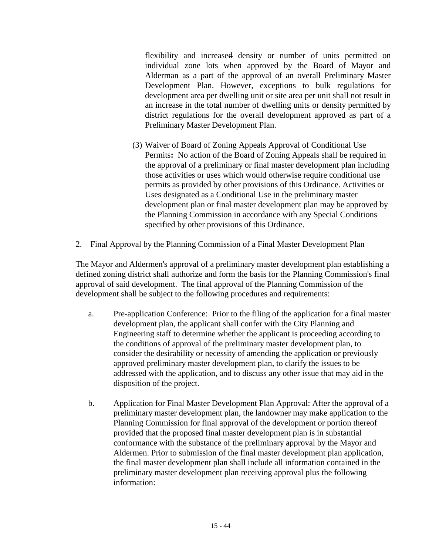flexibility and increased density or number of units permitted on individual zone lots when approved by the Board of Mayor and Alderman as a part of the approval of an overall Preliminary Master Development Plan. However, exceptions to bulk regulations for development area per dwelling unit or site area per unit shall not result in an increase in the total number of dwelling units or density permitted by district regulations for the overall development approved as part of a Preliminary Master Development Plan.

- (3) Waiver of Board of Zoning Appeals Approval of Conditional Use Permits**:** No action of the Board of Zoning Appeals shall be required in the approval of a preliminary or final master development plan including those activities or uses which would otherwise require conditional use permits as provided by other provisions of this Ordinance. Activities or Uses designated as a Conditional Use in the preliminary master development plan or final master development plan may be approved by the Planning Commission in accordance with any Special Conditions specified by other provisions of this Ordinance.
- 2. Final Approval by the Planning Commission of a Final Master Development Plan

The Mayor and Aldermen's approval of a preliminary master development plan establishing a defined zoning district shall authorize and form the basis for the Planning Commission's final approval of said development. The final approval of the Planning Commission of the development shall be subject to the following procedures and requirements:

- a. Pre-application Conference: Prior to the filing of the application for a final master development plan, the applicant shall confer with the City Planning and Engineering staff to determine whether the applicant is proceeding according to the conditions of approval of the preliminary master development plan, to consider the desirability or necessity of amending the application or previously approved preliminary master development plan, to clarify the issues to be addressed with the application, and to discuss any other issue that may aid in the disposition of the project.
- b. Application for Final Master Development Plan Approval: After the approval of a preliminary master development plan, the landowner may make application to the Planning Commission for final approval of the development or portion thereof provided that the proposed final master development plan is in substantial conformance with the substance of the preliminary approval by the Mayor and Aldermen. Prior to submission of the final master development plan application, the final master development plan shall include all information contained in the preliminary master development plan receiving approval plus the following information: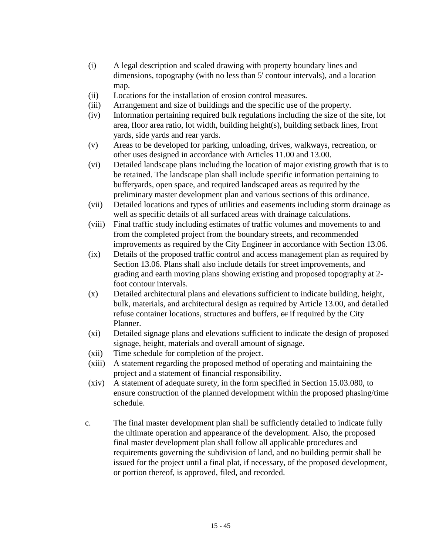- (i) A legal description and scaled drawing with property boundary lines and dimensions, topography (with no less than 5' contour intervals), and a location map.
- (ii) Locations for the installation of erosion control measures.
- (iii) Arrangement and size of buildings and the specific use of the property.
- (iv) Information pertaining required bulk regulations including the size of the site, lot area, floor area ratio, lot width, building height(s), building setback lines, front yards, side yards and rear yards.
- (v) Areas to be developed for parking, unloading, drives, walkways, recreation, or other uses designed in accordance with Articles 11.00 and 13.00.
- (vi) Detailed landscape plans including the location of major existing growth that is to be retained. The landscape plan shall include specific information pertaining to bufferyards, open space, and required landscaped areas as required by the preliminary master development plan and various sections of this ordinance.
- (vii) Detailed locations and types of utilities and easements including storm drainage as well as specific details of all surfaced areas with drainage calculations.
- (viii) Final traffic study including estimates of traffic volumes and movements to and from the completed project from the boundary streets, and recommended improvements as required by the City Engineer in accordance with Section 13.06.
- (ix) Details of the proposed traffic control and access management plan as required by Section 13.06. Plans shall also include details for street improvements, and grading and earth moving plans showing existing and proposed topography at 2 foot contour intervals.
- (x) Detailed architectural plans and elevations sufficient to indicate building, height, bulk, materials, and architectural design as required by Article 13.00, and detailed refuse container locations, structures and buffers, or if required by the City Planner.
- (xi) Detailed signage plans and elevations sufficient to indicate the design of proposed signage, height, materials and overall amount of signage.
- (xii) Time schedule for completion of the project.
- (xiii) A statement regarding the proposed method of operating and maintaining the project and a statement of financial responsibility.
- (xiv) A statement of adequate surety, in the form specified in Section 15.03.080, to ensure construction of the planned development within the proposed phasing/time schedule.
- c. The final master development plan shall be sufficiently detailed to indicate fully the ultimate operation and appearance of the development. Also, the proposed final master development plan shall follow all applicable procedures and requirements governing the subdivision of land, and no building permit shall be issued for the project until a final plat, if necessary, of the proposed development, or portion thereof, is approved, filed, and recorded.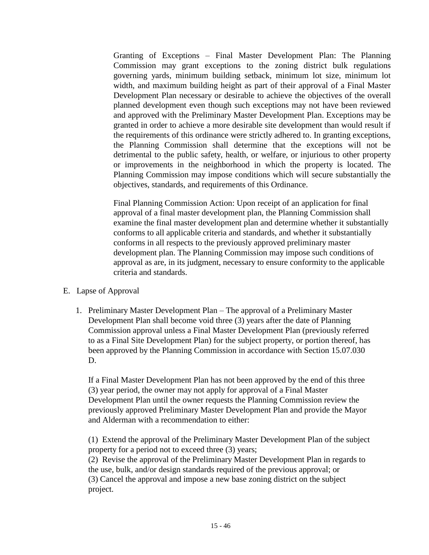Granting of Exceptions – Final Master Development Plan: The Planning Commission may grant exceptions to the zoning district bulk regulations governing yards, minimum building setback, minimum lot size, minimum lot width, and maximum building height as part of their approval of a Final Master Development Plan necessary or desirable to achieve the objectives of the overall planned development even though such exceptions may not have been reviewed and approved with the Preliminary Master Development Plan. Exceptions may be granted in order to achieve a more desirable site development than would result if the requirements of this ordinance were strictly adhered to. In granting exceptions, the Planning Commission shall determine that the exceptions will not be detrimental to the public safety, health, or welfare, or injurious to other property or improvements in the neighborhood in which the property is located. The Planning Commission may impose conditions which will secure substantially the objectives, standards, and requirements of this Ordinance.

Final Planning Commission Action: Upon receipt of an application for final approval of a final master development plan, the Planning Commission shall examine the final master development plan and determine whether it substantially conforms to all applicable criteria and standards, and whether it substantially conforms in all respects to the previously approved preliminary master development plan. The Planning Commission may impose such conditions of approval as are, in its judgment, necessary to ensure conformity to the applicable criteria and standards.

- E. Lapse of Approval
	- 1. Preliminary Master Development Plan The approval of a Preliminary Master Development Plan shall become void three (3) years after the date of Planning Commission approval unless a Final Master Development Plan (previously referred to as a Final Site Development Plan) for the subject property, or portion thereof, has been approved by the Planning Commission in accordance with Section 15.07.030 D.

If a Final Master Development Plan has not been approved by the end of this three (3) year period, the owner may not apply for approval of a Final Master Development Plan until the owner requests the Planning Commission review the previously approved Preliminary Master Development Plan and provide the Mayor and Alderman with a recommendation to either:

(1) Extend the approval of the Preliminary Master Development Plan of the subject property for a period not to exceed three (3) years;

(2) Revise the approval of the Preliminary Master Development Plan in regards to the use, bulk, and/or design standards required of the previous approval; or (3) Cancel the approval and impose a new base zoning district on the subject project.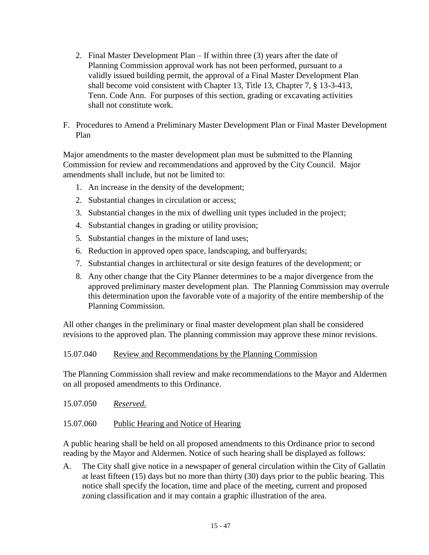- 2. Final Master Development Plan If within three (3) years after the date of Planning Commission approval work has not been performed, pursuant to a validly issued building permit, the approval of a Final Master Development Plan shall become void consistent with Chapter 13, Title 13, Chapter 7, § 13-3-413, Tenn. Code Ann. For purposes of this section, grading or excavating activities shall not constitute work.
- F. Procedures to Amend a Preliminary Master Development Plan or Final Master Development Plan

Major amendments to the master development plan must be submitted to the Planning Commission for review and recommendations and approved by the City Council. Major amendments shall include, but not be limited to:

- 1. An increase in the density of the development;
- 2. Substantial changes in circulation or access;
- 3. Substantial changes in the mix of dwelling unit types included in the project;
- 4. Substantial changes in grading or utility provision;
- 5. Substantial changes in the mixture of land uses;
- 6. Reduction in approved open space, landscaping, and bufferyards;
- 7. Substantial changes in architectural or site design features of the development; or
- 8. Any other change that the City Planner determines to be a major divergence from the approved preliminary master development plan. The Planning Commission may overrule this determination upon the favorable vote of a majority of the entire membership of the Planning Commission.

All other changes in the preliminary or final master development plan shall be considered revisions to the approved plan. The planning commission may approve these minor revisions.

# 15.07.040 Review and Recommendations by the Planning Commission

The Planning Commission shall review and make recommendations to the Mayor and Aldermen on all proposed amendments to this Ordinance.

15.07.050 *Reserved.*

# 15.07.060 Public Hearing and Notice of Hearing

A public hearing shall be held on all proposed amendments to this Ordinance prior to second reading by the Mayor and Aldermen. Notice of such hearing shall be displayed as follows:

A. The City shall give notice in a newspaper of general circulation within the City of Gallatin at least fifteen (15) days but no more than thirty (30) days prior to the public hearing. This notice shall specify the location, time and place of the meeting, current and proposed zoning classification and it may contain a graphic illustration of the area.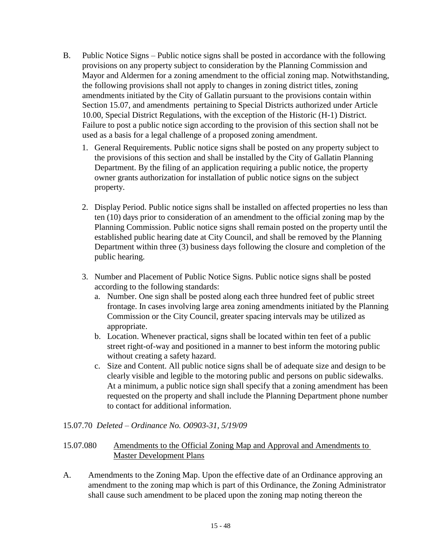- B. Public Notice Signs Public notice signs shall be posted in accordance with the following provisions on any property subject to consideration by the Planning Commission and Mayor and Aldermen for a zoning amendment to the official zoning map. Notwithstanding, the following provisions shall not apply to changes in zoning district titles, zoning amendments initiated by the City of Gallatin pursuant to the provisions contain within Section 15.07, and amendments pertaining to Special Districts authorized under Article 10.00, Special District Regulations, with the exception of the Historic (H-1) District. Failure to post a public notice sign according to the provision of this section shall not be used as a basis for a legal challenge of a proposed zoning amendment.
	- 1. General Requirements. Public notice signs shall be posted on any property subject to the provisions of this section and shall be installed by the City of Gallatin Planning Department. By the filing of an application requiring a public notice, the property owner grants authorization for installation of public notice signs on the subject property.
	- 2. Display Period. Public notice signs shall be installed on affected properties no less than ten (10) days prior to consideration of an amendment to the official zoning map by the Planning Commission. Public notice signs shall remain posted on the property until the established public hearing date at City Council, and shall be removed by the Planning Department within three (3) business days following the closure and completion of the public hearing.
	- 3. Number and Placement of Public Notice Signs. Public notice signs shall be posted according to the following standards:
		- a. Number. One sign shall be posted along each three hundred feet of public street frontage. In cases involving large area zoning amendments initiated by the Planning Commission or the City Council, greater spacing intervals may be utilized as appropriate.
		- b. Location. Whenever practical, signs shall be located within ten feet of a public street right-of-way and positioned in a manner to best inform the motoring public without creating a safety hazard.
		- c. Size and Content. All public notice signs shall be of adequate size and design to be clearly visible and legible to the motoring public and persons on public sidewalks. At a minimum, a public notice sign shall specify that a zoning amendment has been requested on the property and shall include the Planning Department phone number to contact for additional information.

# 15.07.70 *Deleted – Ordinance No. O0903-31, 5/19/09*

### 15.07.080 Amendments to the Official Zoning Map and Approval and Amendments to Master Development Plans

A. Amendments to the Zoning Map. Upon the effective date of an Ordinance approving an amendment to the zoning map which is part of this Ordinance, the Zoning Administrator shall cause such amendment to be placed upon the zoning map noting thereon the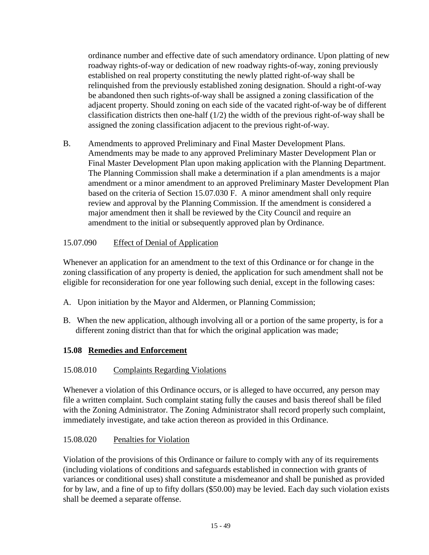ordinance number and effective date of such amendatory ordinance. Upon platting of new roadway rights-of-way or dedication of new roadway rights-of-way, zoning previously established on real property constituting the newly platted right-of-way shall be relinquished from the previously established zoning designation. Should a right-of-way be abandoned then such rights-of-way shall be assigned a zoning classification of the adjacent property. Should zoning on each side of the vacated right-of-way be of different classification districts then one-half  $(1/2)$  the width of the previous right-of-way shall be assigned the zoning classification adjacent to the previous right-of-way.

B. Amendments to approved Preliminary and Final Master Development Plans. Amendments may be made to any approved Preliminary Master Development Plan or Final Master Development Plan upon making application with the Planning Department. The Planning Commission shall make a determination if a plan amendments is a major amendment or a minor amendment to an approved Preliminary Master Development Plan based on the criteria of Section 15.07.030 F. A minor amendment shall only require review and approval by the Planning Commission. If the amendment is considered a major amendment then it shall be reviewed by the City Council and require an amendment to the initial or subsequently approved plan by Ordinance.

# 15.07.090 Effect of Denial of Application

Whenever an application for an amendment to the text of this Ordinance or for change in the zoning classification of any property is denied, the application for such amendment shall not be eligible for reconsideration for one year following such denial, except in the following cases:

- A. Upon initiation by the Mayor and Aldermen, or Planning Commission;
- B. When the new application, although involving all or a portion of the same property, is for a different zoning district than that for which the original application was made;

# **15.08 Remedies and Enforcement**

# 15.08.010 Complaints Regarding Violations

Whenever a violation of this Ordinance occurs, or is alleged to have occurred, any person may file a written complaint. Such complaint stating fully the causes and basis thereof shall be filed with the Zoning Administrator. The Zoning Administrator shall record properly such complaint, immediately investigate, and take action thereon as provided in this Ordinance.

# 15.08.020 Penalties for Violation

Violation of the provisions of this Ordinance or failure to comply with any of its requirements (including violations of conditions and safeguards established in connection with grants of variances or conditional uses) shall constitute a misdemeanor and shall be punished as provided for by law, and a fine of up to fifty dollars (\$50.00) may be levied. Each day such violation exists shall be deemed a separate offense.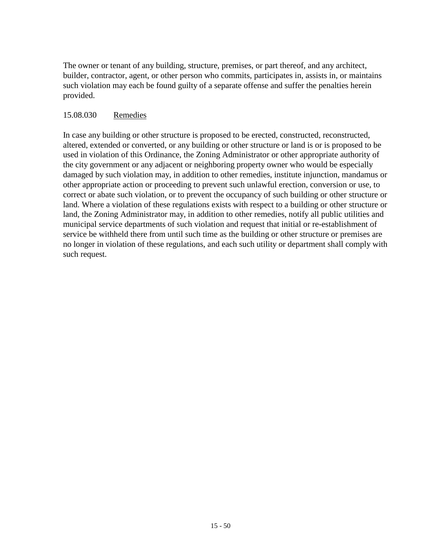The owner or tenant of any building, structure, premises, or part thereof, and any architect, builder, contractor, agent, or other person who commits, participates in, assists in, or maintains such violation may each be found guilty of a separate offense and suffer the penalties herein provided.

### 15.08.030 Remedies

In case any building or other structure is proposed to be erected, constructed, reconstructed, altered, extended or converted, or any building or other structure or land is or is proposed to be used in violation of this Ordinance, the Zoning Administrator or other appropriate authority of the city government or any adjacent or neighboring property owner who would be especially damaged by such violation may, in addition to other remedies, institute injunction, mandamus or other appropriate action or proceeding to prevent such unlawful erection, conversion or use, to correct or abate such violation, or to prevent the occupancy of such building or other structure or land. Where a violation of these regulations exists with respect to a building or other structure or land, the Zoning Administrator may, in addition to other remedies, notify all public utilities and municipal service departments of such violation and request that initial or re-establishment of service be withheld there from until such time as the building or other structure or premises are no longer in violation of these regulations, and each such utility or department shall comply with such request.